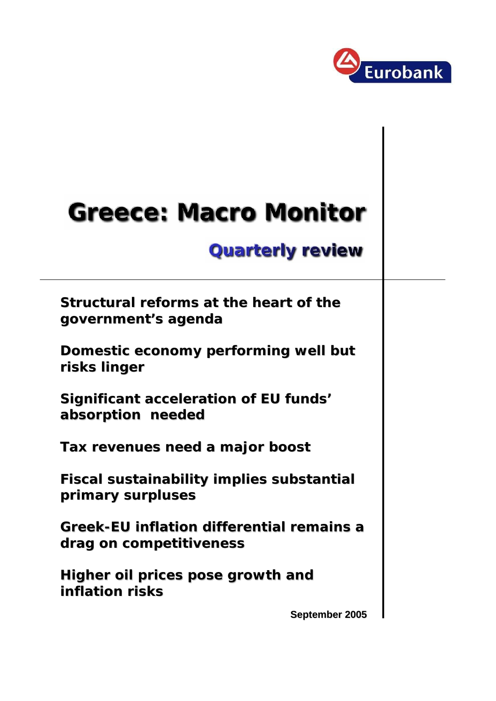

# **Greece: Macro Monitor**

# **Quarterly review**

**Structural reforms at the heart of the government's agenda government's agenda**

**Domestic economy performing well but risks linger** 

**Significant acceleration of EU funds' absorption needed absorption needed**

**Tax revenues need a major boost Tax revenues need a major boost**

**Fiscal sustainability implies substantial primary surpluses primary surpluses** 

**Greek-EU inflation differential remains a drag on competitiveness drag on** 

**Higher oil prices pose growth and Higher oil prices pose growth and inflation risks inflation risks**

**September 2005**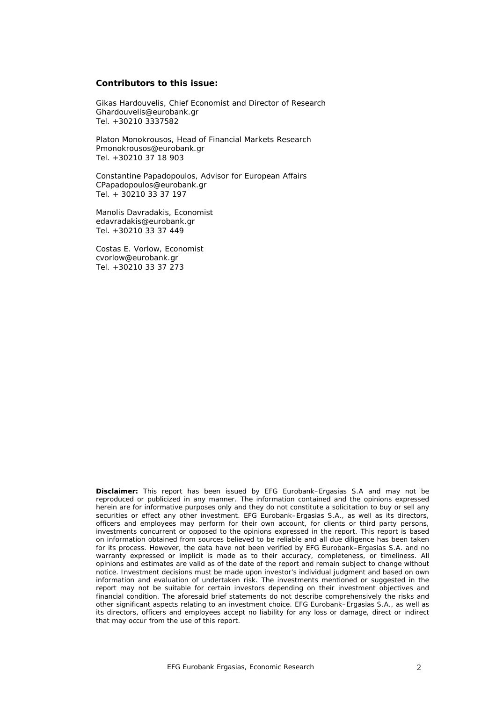#### **Contributors to this issue:**

Gikas Hardouvelis, Chief Economist and Director of Research Ghardouvelis@eurobank.gr Tel. +30210 3337582

Platon Monokrousos, Head of Financial Markets Research Pmonokrousos@eurobank.gr Tel. +30210 37 18 903

Constantine Papadopoulos, Advisor for European Affairs CPapadopoulos@eurobank.gr Tel. + 30210 33 37 197

Manolis Davradakis, Economist edavradakis@eurobank.gr Tel. +30210 33 37 449

Costas E. Vorlow, Economist cvorlow@eurobank.gr Tel. +30210 33 37 273

**Disclaimer:** This report has been issued by EFG Eurobank–Ergasias S.A and may not be reproduced or publicized in any manner. The information contained and the opinions expressed herein are for informative purposes only and they do not constitute a solicitation to buy or sell any securities or effect any other investment. EFG Eurobank–Ergasias S.A., as well as its directors, officers and employees may perform for their own account, for clients or third party persons, investments concurrent or opposed to the opinions expressed in the report. This report is based on information obtained from sources believed to be reliable and all due diligence has been taken for its process. However, the data have not been verified by EFG Eurobank–Ergasias S.A. and no warranty expressed or implicit is made as to their accuracy, completeness, or timeliness. All opinions and estimates are valid as of the date of the report and remain subject to change without notice. Investment decisions must be made upon investor's individual judgment and based on own information and evaluation of undertaken risk. The investments mentioned or suggested in the report may not be suitable for certain investors depending on their investment objectives and financial condition. The aforesaid brief statements do not describe comprehensively the risks and other significant aspects relating to an investment choice. EFG Eurobank–Ergasias S.A., as well as its directors, officers and employees accept no liability for any loss or damage, direct or indirect that may occur from the use of this report.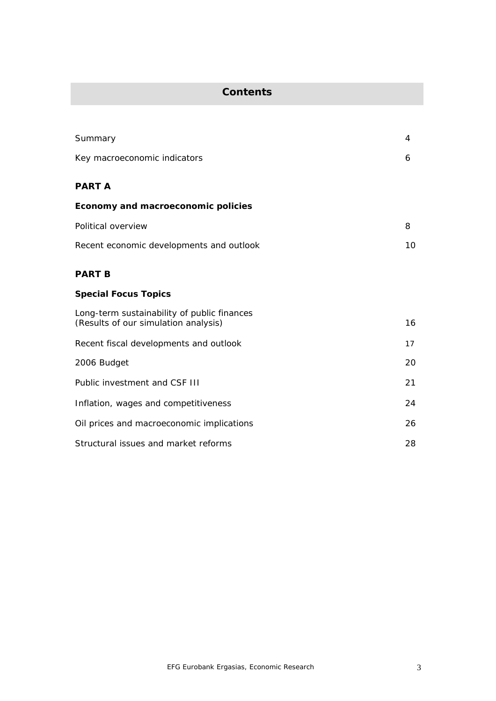### **Contents**

| Summary                                                                             | 4  |
|-------------------------------------------------------------------------------------|----|
| Key macroeconomic indicators                                                        | 6  |
| <b>PART A</b>                                                                       |    |
| Economy and macroeconomic policies                                                  |    |
| Political overview                                                                  | 8  |
| Recent economic developments and outlook                                            | 10 |
| <b>PART B</b>                                                                       |    |
| <b>Special Focus Topics</b>                                                         |    |
| Long-term sustainability of public finances<br>(Results of our simulation analysis) | 16 |
| Recent fiscal developments and outlook                                              | 17 |
| 2006 Budget                                                                         | 20 |
| Public investment and CSF III                                                       | 21 |
| Inflation, wages and competitiveness                                                | 24 |
| Oil prices and macroeconomic implications                                           | 26 |
| Structural issues and market reforms                                                | 28 |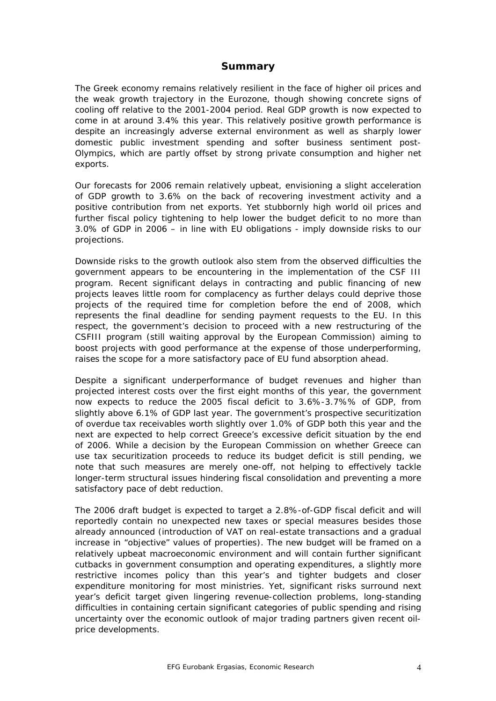#### **Summary**

The Greek economy remains relatively resilient in the face of higher oil prices and the weak growth trajectory in the Eurozone, though showing concrete signs of cooling off relative to the 2001-2004 period. Real GDP growth is now expected to come in at around 3.4% this year. This relatively positive growth performance is despite an increasingly adverse external environment as well as sharply lower domestic public investment spending and softer business sentiment post-Olympics, which are partly offset by strong private consumption and higher net exports.

Our forecasts for 2006 remain relatively upbeat, envisioning a slight acceleration of GDP growth to 3.6% on the back of recovering investment activity and a positive contribution from net exports. Yet stubbornly high world oil prices and further fiscal policy tightening to help lower the budget deficit to no more than 3.0% of GDP in 2006 – in line with EU obligations - imply downside risks to our projections.

Downside risks to the growth outlook also stem from the observed difficulties the government appears to be encountering in the implementation of the CSF III program. Recent significant delays in contracting and public financing of new projects leaves little room for complacency as further delays could deprive those projects of the required time for completion before the end of 2008, which represents the final deadline for sending payment requests to the EU. In this respect, the government's decision to proceed with a new restructuring of the CSFIII program (still waiting approval by the European Commission) aiming to boost projects with good performance at the expense of those underperforming, raises the scope for a more satisfactory pace of EU fund absorption ahead.

Despite a significant underperformance of budget revenues and higher than projected interest costs over the first eight months of this year, the government now expects to reduce the 2005 fiscal deficit to 3.6%-3.7%% of GDP, from slightly above 6.1% of GDP last year. The government's prospective securitization of overdue tax receivables worth slightly over 1.0% of GDP both this year and the next are expected to help correct Greece's excessive deficit situation by the end of 2006. While a decision by the European Commission on whether Greece can use tax securitization proceeds to reduce its budget deficit is still pending, we note that such measures are merely one-off, not helping to effectively tackle longer-term structural issues hindering fiscal consolidation and preventing a more satisfactory pace of debt reduction.

The 2006 draft budget is expected to target a 2.8%-of-GDP fiscal deficit and will reportedly contain no unexpected new taxes or special measures besides those already announced (introduction of VAT on real-estate transactions and a gradual increase in "objective" values of properties). The new budget will be framed on a relatively upbeat macroeconomic environment and will contain further significant cutbacks in government consumption and operating expenditures, a slightly more restrictive incomes policy than this year's and tighter budgets and closer expenditure monitoring for most ministries. Yet, significant risks surround next year's deficit target given lingering revenue-collection problems, long-standing difficulties in containing certain significant categories of public spending and rising uncertainty over the economic outlook of major trading partners given recent oilprice developments.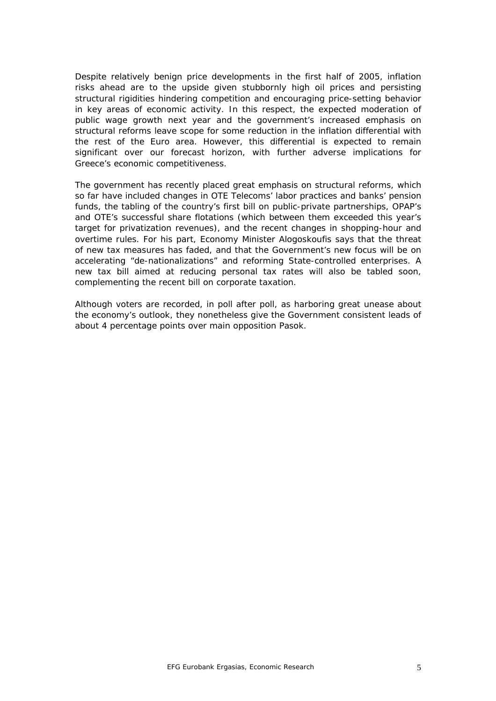Despite relatively benign price developments in the first half of 2005, inflation risks ahead are to the upside given stubbornly high oil prices and persisting structural rigidities hindering competition and encouraging price-setting behavior in key areas of economic activity. In this respect, the expected moderation of public wage growth next year and the government's increased emphasis on structural reforms leave scope for some reduction in the inflation differential with the rest of the Euro area. However, this differential is expected to remain significant over our forecast horizon, with further adverse implications for Greece's economic competitiveness.

The government has recently placed great emphasis on structural reforms, which so far have included changes in OTE Telecoms' labor practices and banks' pension funds, the tabling of the country's first bill on public-private partnerships, OPAP's and OTE's successful share flotations (which between them exceeded this year's target for privatization revenues), and the recent changes in shopping-hour and overtime rules. For his part, Economy Minister Alogoskoufis says that the threat of new tax measures has faded, and that the Government's new focus will be on accelerating "de-nationalizations" and reforming State-controlled enterprises. A new tax bill aimed at reducing personal tax rates will also be tabled soon, complementing the recent bill on corporate taxation.

Although voters are recorded, in poll after poll, as harboring great unease about the economy's outlook, they nonetheless give the Government consistent leads of about 4 percentage points over main opposition Pasok.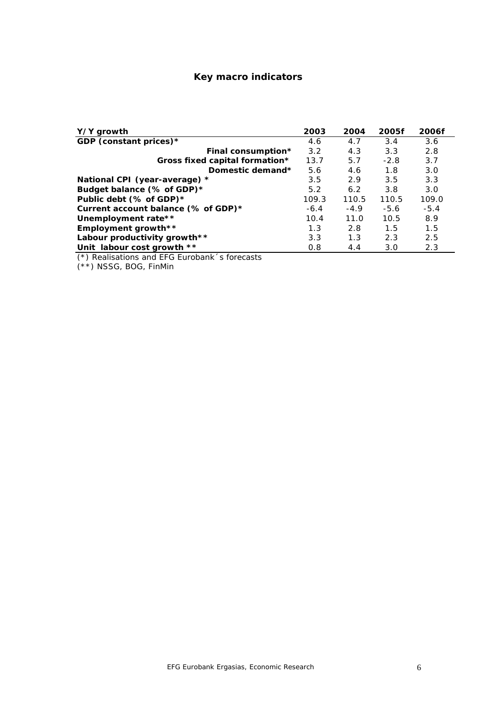#### **Key macro indicators**

| Y/Y growth                          | 2003   | 2004   | 2005f  | 2006f  |
|-------------------------------------|--------|--------|--------|--------|
| GDP (constant prices)*              | 4.6    | 4.7    | 3.4    | 3.6    |
| Final consumption*                  | 3.2    | 4.3    | 3.3    | 2.8    |
| Gross fixed capital formation*      | 13.7   | 5.7    | $-2.8$ | 3.7    |
| Domestic demand*                    | 5.6    | 4.6    | 1.8    | 3.0    |
| National CPI (year-average) *       | 3.5    | 2.9    | 3.5    | 3.3    |
| Budget balance (% of GDP)*          | 5.2    | 6.2    | 3.8    | 3.0    |
| Public debt (% of GDP)*             | 109.3  | 110.5  | 110.5  | 109.0  |
| Current account balance (% of GDP)* | $-6.4$ | $-4.9$ | $-5.6$ | $-5.4$ |
| Unemployment rate**                 | 10.4   | 11.0   | 10.5   | 8.9    |
| Employment growth**                 | 1.3    | 2.8    | 1.5    | 1.5    |
| Labour productivity growth**        | 3.3    | 1.3    | 2.3    | 2.5    |
| Unit labour cost growth **          | 0.8    | 4.4    | 3.0    | 2.3    |

*(\*) Realisations and EFG Eurobank´s forecasts*

*(\*\*) NSSG, BOG, FinMin*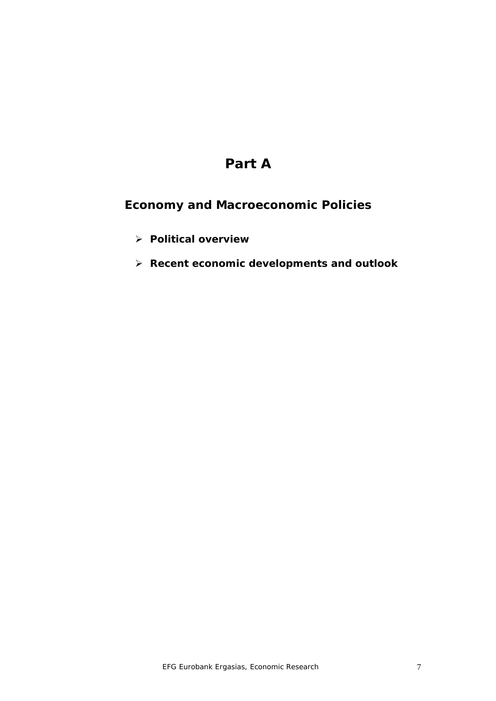# **Part A**

# *Economy and Macroeconomic Policies*

- ¾ **Political overview**
- ¾ **Recent economic developments and outlook**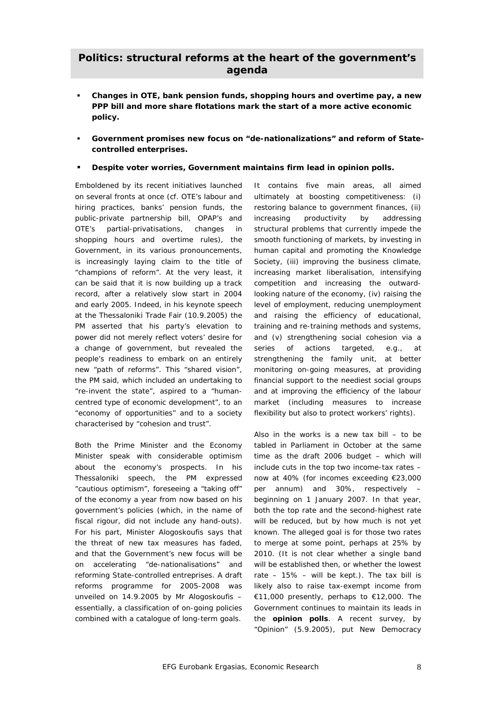#### **Politics: structural reforms at the heart of the government's agenda**

- **Changes in OTE, bank pension funds, shopping hours and overtime pay, a new PPP bill and more share flotations mark the start of a more active economic policy.**
- **Government promises new focus on "de-nationalizations" and reform of Statecontrolled enterprises.**
- **Despite voter worries, Government maintains firm lead in opinion polls.**

Emboldened by its recent initiatives launched on several fronts at once (*cf.* OTE's labour and hiring practices, banks' pension funds, the public-private partnership bill, OPAP's and OTE's partial-privatisations, changes in shopping hours and overtime rules), the Government, in its various pronouncements, is increasingly laying claim to the title of "champions of reform". At the very least, it can be said that it is now building up a track record, after a relatively slow start in 2004 and early 2005. Indeed, in his keynote speech at the Thessaloniki Trade Fair (10.9.2005) the PM asserted that his party's elevation to power did not merely reflect voters' desire for a change of government, but revealed the people's readiness to embark on an entirely new "path of reforms". This "shared vision", the PM said, which included an undertaking to "re-invent the state", aspired to a "humancentred type of economic development", to an "economy of opportunities" and to a society characterised by "cohesion and trust".

Both the Prime Minister and the Economy Minister speak with considerable optimism about the economy's prospects. In his Thessaloniki speech, the PM expressed "cautious optimism", foreseeing a "taking off" of the economy a year from now based on his government's policies (which, in the name of fiscal rigour, did not include any hand-outs). For his part, Minister Alogoskoufis says that the threat of new tax measures has faded, and that the Government's new focus will be on accelerating "de-nationalisations" and reforming State-controlled entreprises. A draft reforms programme for 2005-2008 was unveiled on 14.9.2005 by Mr Alogoskoufis – essentially, a classification of on-going policies combined with a catalogue of long-term goals.

It contains five main areas, all aimed ultimately at boosting competitiveness: (i) restoring balance to government finances, (ii) increasing productivity by addressing structural problems that currently impede the smooth functioning of markets, by investing in human capital and promoting the Knowledge Society, (iii) improving the business climate, increasing market liberalisation, intensifying competition and increasing the outwardlooking nature of the economy, (iv) raising the level of employment, reducing unemployment and raising the efficiency of educational, training and re-training methods and systems, and (v) strengthening social cohesion via a series of actions targeted, *e.g.*, at strengthening the family unit, at better monitoring on-going measures, at providing financial support to the neediest social groups and at improving the efficiency of the labour market (including measures to increase flexibility but also to protect workers' rights).

Also in the works is a new tax bill  $-$  to be tabled in Parliament in October at the same time as the draft 2006 budget – which will include cuts in the top two income-tax rates – now at 40% (for incomes exceeding €23,000 per annum) and 30%, respectively – beginning on 1 January 2007. In that year, both the top rate and the second-highest rate will be reduced, but by how much is not yet known. The alleged goal is for those two rates to merge at some point, perhaps at 25% by 2010. (It is not clear whether a single band will be established then, or whether the lowest rate –  $15\%$  – will be kept.). The tax bill is likely also to raise tax-exempt income from €11,000 presently, perhaps to €12,000. The Government continues to maintain its leads in the **opinion polls**. A recent survey, by "Opinion" (5.9.2005), put New Democracy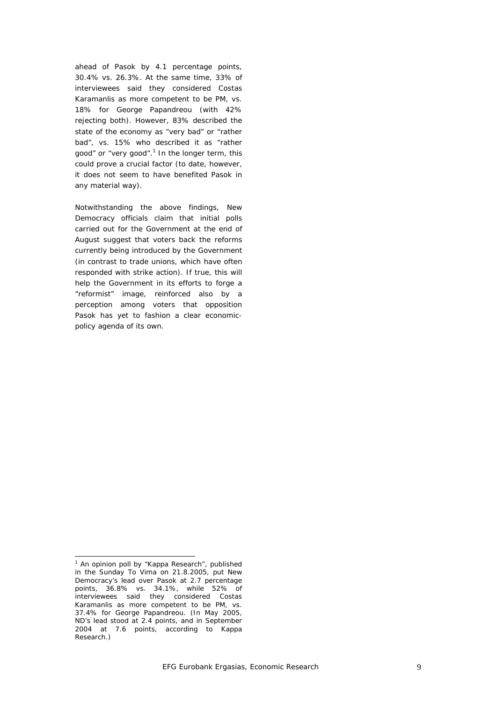ahead of Pasok by 4.1 percentage points, 30.4% *vs.* 26.3%. At the same time, 33% of interviewees said they considered Costas Karamanlis as more competent to be PM, *vs.* 18% for George Papandreou (with 42% rejecting both). However, 83% described the state of the economy as "very bad" or "rather bad", *vs*. 15% who described it as "rather good" or "very good". $^1$  In the longer term, this could prove a crucial factor (to date, however, it does not seem to have benefited Pasok in any material way).

Notwithstanding the above findings, New Democracy officials claim that initial polls carried out for the Government at the end of August suggest that voters back the reforms currently being introduced by the Government (in contrast to trade unions, which have often responded with strike action). If true, this will help the Government in its efforts to forge a "reformist" image, reinforced also by a perception among voters that opposition Pasok has yet to fashion a clear economicpolicy agenda of its own.

<sup>&</sup>lt;sup>1</sup> An opinion poll by "Kappa Research", published in the Sunday *To Vima* on 21.8.2005, put New Democracy's lead over Pasok at 2.7 percentage points, 36.8% *vs.* 34.1%, while 52% of interviewees said they considered Costas Karamanlis as more competent to be PM, *vs.* 37.4% for George Papandreou. (In May 2005, ND's lead stood at 2.4 points, and in September 2004 at 7.6 points, according to Kappa Research.)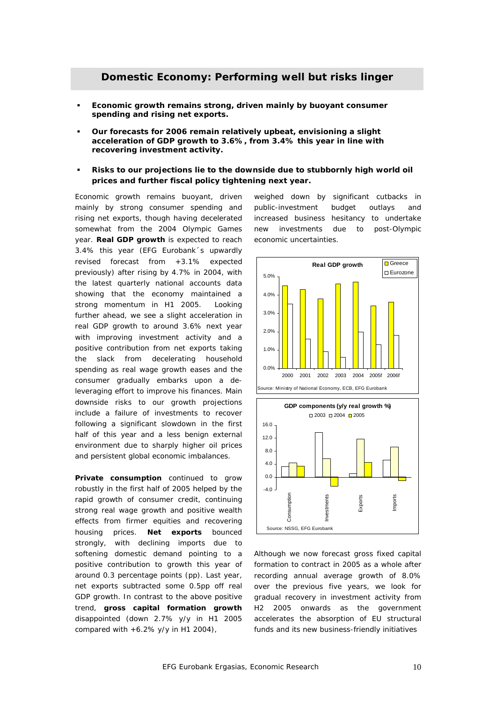- **Economic growth remains strong, driven mainly by buoyant consumer spending and rising net exports.**
- **Our forecasts for 2006 remain relatively upbeat, envisioning a slight acceleration of GDP growth to 3.6%, from 3.4% this year in line with recovering investment activity.**
- **Risks to our projections lie to the downside due to stubbornly high world oil prices and further fiscal policy tightening next year.**

Economic growth remains buoyant, driven mainly by strong consumer spending and rising net exports, though having decelerated somewhat from the 2004 Olympic Games year. **Real GDP growth** is expected to reach 3.4% this year (EFG Eurobank´s upwardly revised forecast from +3.1% expected previously) after rising by 4.7% in 2004, with the latest quarterly national accounts data showing that the economy maintained a strong momentum in H1 2005. Looking further ahead, we see a slight acceleration in real GDP growth to around 3.6% next year with improving investment activity and a positive contribution from net exports taking the slack from decelerating household spending as real wage growth eases and the consumer gradually embarks upon a deleveraging effort to improve his finances. Main downside risks to our growth projections include a failure of investments to recover following a significant slowdown in the first half of this year and a less benign external environment due to sharply higher oil prices and persistent global economic imbalances.

**Private consumption** continued to grow robustly in the first half of 2005 helped by the rapid growth of consumer credit, continuing strong real wage growth and positive wealth effects from firmer equities and recovering housing prices. **Net exports** bounced strongly, with declining imports due to softening domestic demand pointing to a positive contribution to growth this year of around 0.3 percentage points (pp). Last year, net exports subtracted some 0.5pp off real GDP growth. In contrast to the above positive trend, **gross capital formation growth**  disappointed (down 2.7% y/y in H1 2005 compared with  $+6.2\%$  y/y in H1 2004),

weighed down by significant cutbacks in public-investment budget outlays and increased business hesitancy to undertake new investments due to post-Olympic economic uncertainties.





Although we now forecast gross fixed capital formation to contract in 2005 as a whole after recording annual average growth of 8.0% over the previous five years, we look for gradual recovery in investment activity from H2 2005 onwards as the government accelerates the absorption of EU structural funds and its new business-friendly initiatives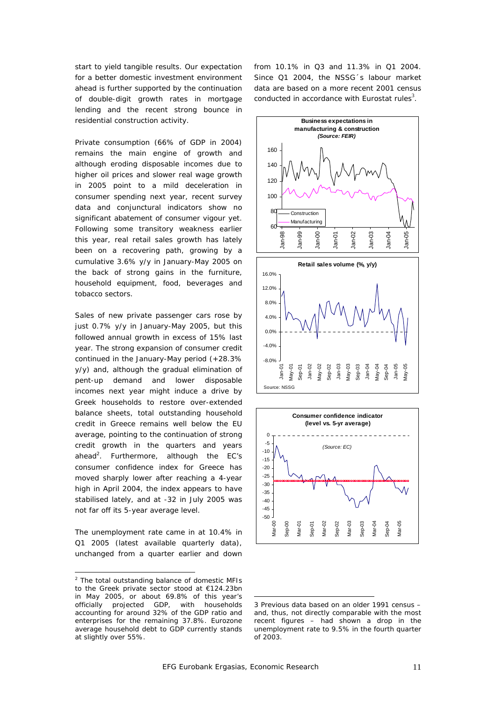start to yield tangible results. Our expectation for a better domestic investment environment ahead is further supported by the continuation of double-digit growth rates in mortgage lending and the recent strong bounce in residential construction activity.

Private consumption (66% of GDP in 2004) remains the main engine of growth and although eroding disposable incomes due to higher oil prices and slower real wage growth in 2005 point to a mild deceleration in consumer spending next year, recent survey data and conjunctural indicators show no significant abatement of consumer vigour yet. Following some transitory weakness earlier this year, real retail sales growth has lately been on a recovering path, growing by a cumulative 3.6% y/y in January-May 2005 on the back of strong gains in the furniture, household equipment, food, beverages and tobacco sectors.

Sales of new private passenger cars rose by just 0.7% y/y in January-May 2005, but this followed annual growth in excess of 15% last year. The strong expansion of consumer credit continued in the January-May period (+28.3% y/y) and, although the gradual elimination of pent-up demand and lower disposable incomes next year might induce a drive by Greek households to restore over-extended balance sheets, total outstanding household credit in Greece remains well below the EU average, pointing to the continuation of strong credit growth in the quarters and years ahead<sup>2</sup>. Furthermore, although the EC's consumer confidence index for Greece has moved sharply lower after reaching a 4-year high in April 2004, the index appears to have stabilised lately, and at -32 in July 2005 was not far off its 5-year average level.

The unemployment rate came in at 10.4% in Q1 2005 (latest available quarterly data), unchanged from a quarter earlier and down

 $\overline{\phantom{a}}$ 

from 10.1% in Q3 and 11.3% in Q1 2004. Since Q1 2004, the NSSG´s labour market data are based on a more recent 2001 census conducted in accordance with Eurostat rules $^3$ .





<sup>&</sup>lt;sup>2</sup> The total outstanding balance of domestic MFIs to the Greek private sector stood at €124.23bn in May 2005, or about 69.8% of this year's officially projected GDP, with households accounting for around 32% of the GDP ratio and enterprises for the remaining 37.8%. Eurozone average household debt to GDP currently stands at slightly over 55%.

<sup>3</sup> Previous data based on an older 1991 census – and, thus, not directly comparable with the most recent figures – had shown a drop in the unemployment rate to 9.5% in the fourth quarter of 2003.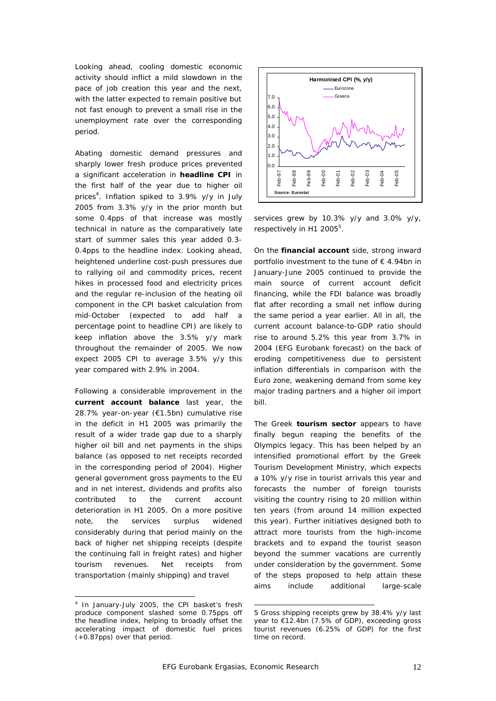Looking ahead, cooling domestic economic activity should inflict a mild slowdown in the pace of job creation this year and the next, with the latter expected to remain positive but not fast enough to prevent a small rise in the unemployment rate over the corresponding period.

Abating domestic demand pressures and sharply lower fresh produce prices prevented a significant acceleration in **headline CPI** in the first half of the year due to higher oil prices<sup>4</sup>. Inflation spiked to 3.9% y/y in July 2005 from 3.3% y/y in the prior month but some 0.4pps of that increase was mostly technical in nature as the comparatively late start of summer sales this year added 0.3- 0.4pps to the headline index. Looking ahead, heightened underline cost-push pressures due to rallying oil and commodity prices, recent hikes in processed food and electricity prices and the regular re-inclusion of the heating oil component in the CPI basket calculation from mid-October (expected to add half a percentage point to headline CPI) are likely to keep inflation above the 3.5% y/y mark throughout the remainder of 2005. We now expect 2005 CPI to average 3.5% y/y this year compared with 2.9% in 2004.

Following a considerable improvement in the **current account balance** last year, the 28.7% year-on-year (€1.5bn) cumulative rise in the deficit in H1 2005 was primarily the result of a wider trade gap due to a sharply higher oil bill and net payments in the ships balance (as opposed to net receipts recorded in the corresponding period of 2004). Higher general government gross payments to the EU and in net interest, dividends and profits also contributed to the current account deterioration in H1 2005. On a more positive note, the services surplus widened considerably during that period mainly on the back of higher net shipping receipts (despite the continuing fall in freight rates) and higher tourism revenues. Net receipts from transportation (mainly shipping) and travel

 $\overline{\phantom{a}}$ 



services grew by 10.3% y/y and 3.0% y/y, respectively in H1 2005<sup>5</sup>.

On the **financial account** side, strong inward portfolio investment to the tune of € 4.94bn in January-June 2005 continued to provide the main source of current account deficit financing, while the FDI balance was broadly flat after recording a small net inflow during the same period a year earlier. All in all, the current account balance-to-GDP ratio should rise to around 5.2% this year from 3.7% in 2004 (EFG Eurobank forecast) on the back of eroding competitiveness due to persistent inflation differentials in comparison with the Euro zone, weakening demand from some key major trading partners and a higher oil import bill.

The Greek **tourism sector** appears to have finally begun reaping the benefits of the Olympics legacy. This has been helped by an intensified promotional effort by the Greek Tourism Development Ministry, which expects a 10% y/y rise in tourist arrivals this year and forecasts the number of foreign tourists visiting the country rising to 20 million within ten years (from around 14 million expected this year). Further initiatives designed both to attract more tourists from the high-income brackets and to expand the tourist season beyond the summer vacations are currently under consideration by the government. Some of the steps proposed to help attain these aims include additional large-scale

<sup>&</sup>lt;sup>4</sup> In January-July 2005, the CPI basket's fresh produce component slashed some 0.75pps off the headline index, helping to broadly offset the accelerating impact of domestic fuel prices (+0.87pps) over that period.

l 5 Gross shipping receipts grew by 38.4% y/y last year to €12.4bn (7.5% of GDP), exceeding gross tourist revenues (6.25% of GDP) for the first time on record.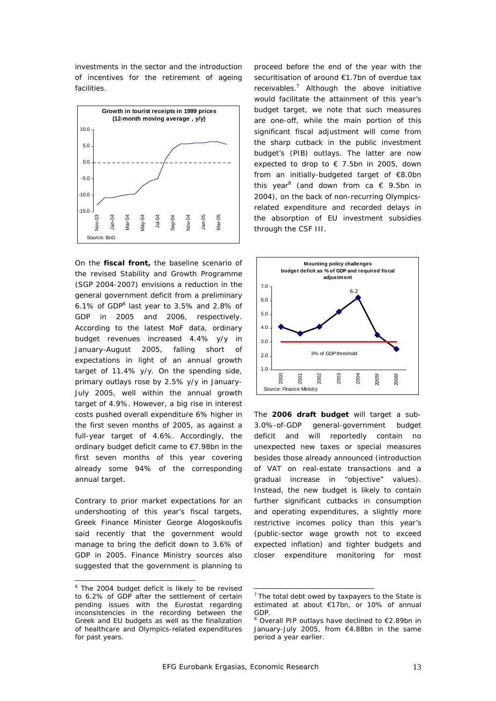investments in the sector and the introduction of incentives for the retirement of ageing facilities.



On the **fiscal front,** the baseline scenario of the revised Stability and Growth Programme (SGP 2004-2007) envisions a reduction in the general government deficit from a preliminary 6.1% of GDP $^6$  last year to 3.5% and 2.8% of GDP in 2005 and 2006, respectively. According to the latest MoF data, ordinary budget revenues increased 4.4% y/y in January-August 2005, falling short of expectations in light of an annual growth target of 11.4% y/y. On the spending side, primary outlays rose by 2.5% y/y in January-July 2005, well within the annual growth target of 4.9%. However, a big rise in interest costs pushed overall expenditure 6% higher in the first seven months of 2005, as against a full-year target of 4.6%. Accordingly, the ordinary budget deficit came to €7.98bn in the first seven months of this year covering already some 94% of the corresponding annual target.

Contrary to prior market expectations for an undershooting of this year's fiscal targets, Greek Finance Minister George Alogoskoufis said recently that the government would manage to bring the deficit down to 3.6% of GDP in 2005. Finance Ministry sources also suggested that the government is planning to

 $\overline{\phantom{a}}$ 

proceed before the end of the year with the securitisation of around €1.7bn of overdue tax receivables.<sup>7</sup> Although the above initiative would facilitate the attainment of this year's budget target, we note that such measures are one-off, while the main portion of this significant fiscal adjustment will come from the sharp cutback in the public investment budget's (PIB) outlays. The latter are now expected to drop to  $\epsilon$  7.5bn in 2005, down from an initially-budgeted target of €8.0bn this year<sup>8</sup> (and down from ca  $\epsilon$  9.5bn in 2004), on the back of non-recurring Olympicsrelated expenditure and recorded delays in the absorption of EU investment subsidies through the CSF III.



The **2006 draft budget** will target a sub-3.0%-of-GDP general-government budget deficit and will reportedly contain no unexpected new taxes or special measures besides those already announced (introduction of VAT on real-estate transactions and a gradual increase in "objective" values). Instead, the new budget is likely to contain further significant cutbacks in consumption and operating expenditures, a slightly more restrictive incomes policy than this year's (public-sector wage growth not to exceed expected inflation) and tighter budgets and closer expenditure monitoring for most

<sup>&</sup>lt;sup>6</sup> The 2004 budget deficit is likely to be revised to 6.2% of GDP after the settlement of certain pending issues with the Eurostat regarding inconsistencies in the recording between the Greek and EU budgets as well as the finalization of healthcare and Olympics-related expenditures for past years.

 $7$  The total debt owed by taxpayers to the State is estimated at about €17bn, or 10% of annual GDP.

<sup>&</sup>lt;sup>8</sup> Overall PIP outlays have declined to €2.89bn in January-July 2005, from €4.88bn in the same period a year earlier.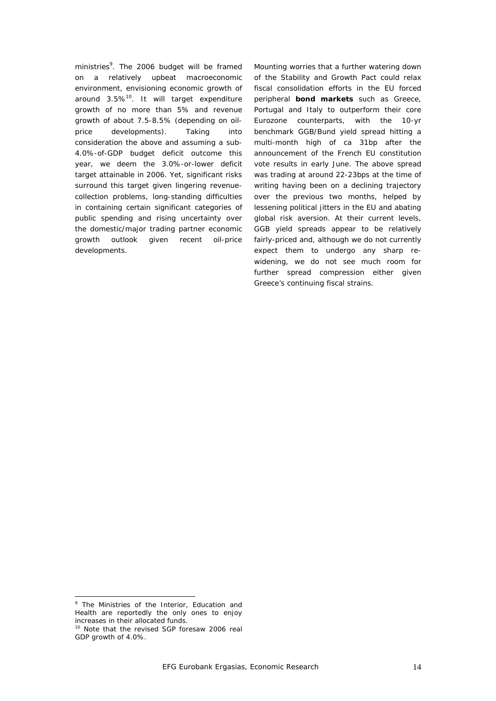ministries<sup>9</sup>. The 2006 budget will be framed on a relatively upbeat macroeconomic environment, envisioning economic growth of around  $3.5\%$ <sup>10</sup>. It will target expenditure growth of no more than 5% and revenue growth of about 7.5-8.5% (depending on oilprice developments). Taking into consideration the above and assuming a sub-4.0%-of-GDP budget deficit outcome this year, we deem the 3.0%-or-lower deficit target attainable in 2006. Yet, significant risks surround this target given lingering revenuecollection problems, long-standing difficulties in containing certain significant categories of public spending and rising uncertainty over the domestic/major trading partner economic growth outlook given recent oil-price developments.

Mounting worries that a further watering down of the Stability and Growth Pact could relax fiscal consolidation efforts in the EU forced peripheral **bond markets** such as Greece, Portugal and Italy to outperform their core Eurozone counterparts, with the 10-yr benchmark GGB/Bund yield spread hitting a multi-month high of ca 31bp after the announcement of the French EU constitution vote results in early June. The above spread was trading at around 22-23bps at the time of writing having been on a declining trajectory over the previous two months, helped by lessening political jitters in the EU and abating global risk aversion. At their current levels, GGB yield spreads appear to be relatively fairly-priced and, although we do not currently expect them to undergo any sharp rewidening, we do not see much room for further spread compression either given Greece's continuing fiscal strains.

<sup>&</sup>lt;sup>9</sup> The Ministries of the Interior, Education and Health are reportedly the only ones to enjoy increases in their allocated funds.

<sup>&</sup>lt;sup>10</sup> Note that the revised SGP foresaw 2006 real GDP growth of 4.0%.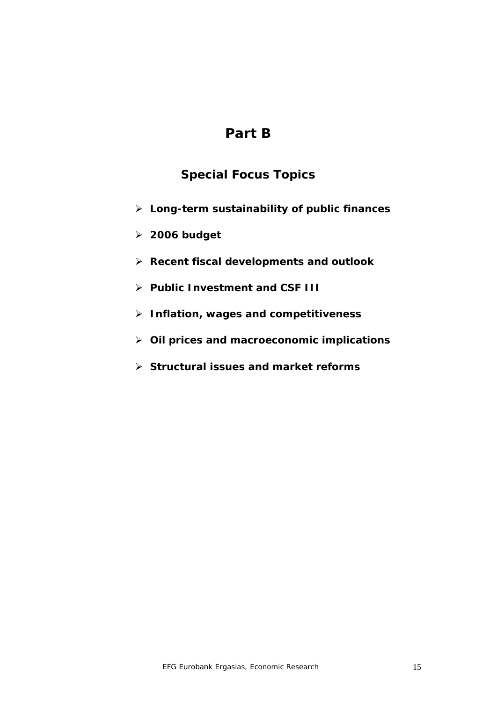# **Part B**

## *Special Focus Topics*

- **Long-term sustainability of public finances**
- **2006 budget**
- **Recent fiscal developments and outlook**
- **Public Investment and CSF III**
- **Inflation, wages and competitiveness**
- **Oil prices and macroeconomic implications**
- **Structural issues and market reforms**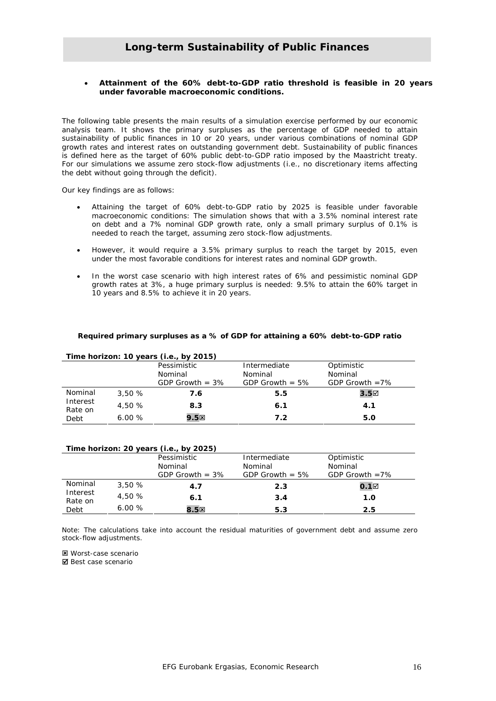#### **Long-term Sustainability of Public Finances**

#### • **Attainment of the 60% debt-to-GDP ratio threshold is feasible in 20 years under favorable macroeconomic conditions.**

The following table presents the main results of a simulation exercise performed by our economic analysis team. It shows the primary surpluses as the percentage of GDP needed to attain sustainability of public finances in 10 or 20 years, under various combinations of nominal GDP growth rates and interest rates on outstanding government debt. Sustainability of public finances is defined here as the target of 60% public debt-to-GDP ratio imposed by the Maastricht treaty. For our simulations we assume zero stock-flow adjustments (i.e., no discretionary items affecting the debt without going through the deficit).

Our key findings are as follows:

- Attaining the target of 60% debt-to-GDP ratio by 2025 is feasible under favorable macroeconomic conditions: The simulation shows that with a 3.5% nominal interest rate on debt and a 7% nominal GDP growth rate, only a small primary surplus of 0.1% is needed to reach the target, assuming zero stock-flow adjustments.
- However, it would require a 3.5% primary surplus to reach the target by 2015, even under the most favorable conditions for interest rates and nominal GDP growth.
- In the worst case scenario with high interest rates of 6% and pessimistic nominal GDP growth rates at 3%, a huge primary surplus is needed: 9.5% to attain the 60% target in 10 years and 8.5% to achieve it in 20 years.

#### **Required primary surpluses as a % of GDP for attaining a 60% debt-to-GDP ratio**

| Time horizon: 10 years (i.e., by 2015) |         |                   |                    |                   |  |  |  |  |
|----------------------------------------|---------|-------------------|--------------------|-------------------|--|--|--|--|
|                                        |         | Pessimistic       | Intermediate       | Optimistic        |  |  |  |  |
|                                        | Nominal |                   | Nominal            | Nominal           |  |  |  |  |
|                                        |         | GDP Growth $=$ 3% | GDP Growth $= 5\%$ | GDP Growth $=7\%$ |  |  |  |  |
| Nominal                                | 3.50%   | 7.6               | 5.5                | $3.5\square$      |  |  |  |  |
| Interest<br>Rate on                    | 4.50 %  | 8.3               | 6.1                | 4.1               |  |  |  |  |
| Debt                                   | 6.00%   | 9.5 <sup>2</sup>  | 7.2                | 5.0               |  |  |  |  |

| Time horizon: 20 years (i.e., by 2025) |        |                   |                    |                   |  |  |  |  |
|----------------------------------------|--------|-------------------|--------------------|-------------------|--|--|--|--|
|                                        |        | Pessimistic       | Intermediate       | Optimistic        |  |  |  |  |
|                                        |        | Nominal           | Nominal            | Nominal           |  |  |  |  |
|                                        |        | GDP Growth $=$ 3% | GDP Growth $= 5\%$ | GDP Growth $=7\%$ |  |  |  |  |
| Nominal                                | 3,50%  | 4.7               | 2.3                | $0.1\boxtimes$    |  |  |  |  |
| Interest<br>Rate on                    | 4,50 % | 6.1               | 3.4                | 1.0               |  |  |  |  |
| Debt                                   | 6.00%  | 8.5 <sup>2</sup>  | 5.3                | 2.5               |  |  |  |  |

Note: The calculations take into account the residual maturities of government debt and assume zero stock-flow adjustments.

: Worst-case scenario ■ Best case scenario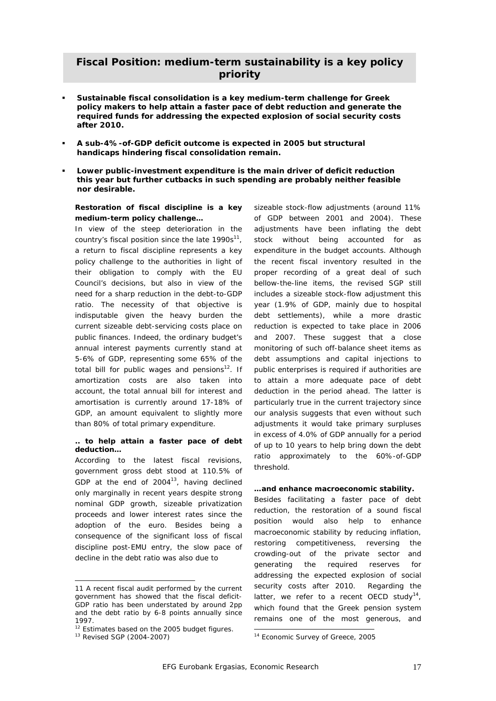#### **Fiscal Position: medium-term sustainability is a key policy priority**

- **Sustainable fiscal consolidation is a key medium-term challenge for Greek policy makers to help attain a faster pace of debt reduction and generate the required funds for addressing the expected explosion of social security costs after 2010.**
- **A sub-4%-of-GDP deficit outcome is expected in 2005 but structural handicaps hindering fiscal consolidation remain.**
- **Lower public-investment expenditure is the main driver of deficit reduction this year but further cutbacks in such spending are probably neither feasible nor desirable.**

#### *Restoration of fiscal discipline is a key medium-term policy challenge…*

In view of the steep deterioration in the country's fiscal position since the late  $1990s^{11}$ , a return to fiscal discipline represents a key policy challenge to the authorities in light of their obligation to comply with the EU Council's decisions, but also in view of the need for a sharp reduction in the debt-to-GDP ratio. The necessity of that objective is indisputable given the heavy burden the current sizeable debt-servicing costs place on public finances. Indeed, the ordinary budget's annual interest payments currently stand at 5-6% of GDP, representing some 65% of the total bill for public wages and pensions $12$ . If amortization costs are also taken into account, the total annual bill for interest and amortisation is currently around 17-18% of GDP, an amount equivalent to slightly more than 80% of total primary expenditure.

#### *.. to help attain a faster pace of debt deduction…*

According to the latest fiscal revisions, government gross debt stood at 110.5% of GDP at the end of  $2004^{13}$ , having declined only marginally in recent years despite strong nominal GDP growth, sizeable privatization proceeds and lower interest rates since the adoption of the euro. Besides being a consequence of the significant loss of fiscal discipline post-EMU entry, the slow pace of decline in the debt ratio was also due to

 $\overline{\phantom{a}}$ 

sizeable stock-flow adjustments (around 11% of GDP between 2001 and 2004). These adjustments have been inflating the debt stock without being accounted for as expenditure in the budget accounts. Although the recent fiscal inventory resulted in the proper recording of a great deal of such bellow-the-line items, the revised SGP still includes a sizeable stock-flow adjustment this year (1.9% of GDP, mainly due to hospital debt settlements), while a more drastic reduction is expected to take place in 2006 and 2007. These suggest that a close monitoring of such off-balance sheet items as debt assumptions and capital injections to public enterprises is required if authorities are to attain a more adequate pace of debt deduction in the period ahead. The latter is particularly true in the current trajectory since our analysis suggests that even without such adjustments it would take primary surpluses in excess of 4.0% of GDP annually for a period of up to 10 years to help bring down the debt ratio approximately to the 60%-of-GDP threshold.

#### *…and enhance macroeconomic stability.*

Besides facilitating a faster pace of debt reduction, the restoration of a sound fiscal position would also help to enhance macroeconomic stability by reducing inflation, restoring competitiveness, reversing the crowding-out of the private sector and generating the required reserves for addressing the expected explosion of social security costs after 2010. Regarding the latter, we refer to a recent OECD study<sup>14</sup>, which found that the Greek pension system remains one of the most generous, and

<sup>11</sup> A recent fiscal audit performed by the current government has showed that the fiscal deficit-GDP ratio has been understated by around 2pp and the debt ratio by 6-8 points annually since 1997.

 $12$  Estimates based on the 2005 budget figures.<br> $13$  Revised SGP (2004-2007)

 $\overline{a}$ <sup>14</sup> Economic Survey of Greece, 2005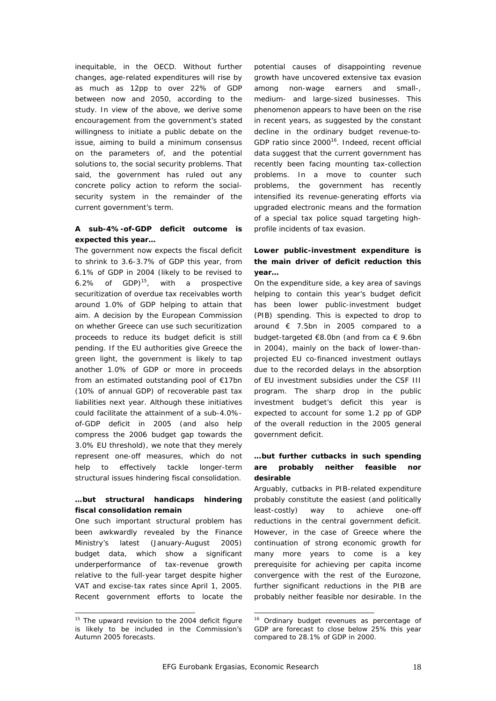inequitable, in the OECD. Without further changes, age-related expenditures will rise by as much as 12pp to over 22% of GDP between now and 2050, according to the study. In view of the above, we derive some encouragement from the government's stated willingness to initiate a public debate on the issue, aiming to build a minimum consensus on the parameters of, and the potential solutions to, the social security problems. That said, the government has ruled out any concrete policy action to reform the socialsecurity system in the remainder of the current government's term.

#### *A sub-4%-of-GDP deficit outcome is expected this year…*

The government now expects the fiscal deficit to shrink to 3.6-3.7% of GDP this year, from 6.1% of GDP in 2004 (likely to be revised to 6.2% of GDP $]$ <sup>15</sup>, with a prospective securitization of overdue tax receivables worth around 1.0% of GDP helping to attain that aim. A decision by the European Commission on whether Greece can use such securitization proceeds to reduce its budget deficit is still pending. If the EU authorities give Greece the green light, the government is likely to tap another 1.0% of GDP or more in proceeds from an estimated outstanding pool of €17bn (10% of annual GDP) of recoverable past tax liabilities next year. Although these initiatives could facilitate the attainment of a sub-4.0% of-GDP deficit in 2005 (and also help compress the 2006 budget gap towards the 3.0% EU threshold), we note that they merely represent one-off measures, which do not help to effectively tackle longer-term structural issues hindering fiscal consolidation.

#### *…but structural handicaps hindering fiscal consolidation remain*

One such important structural problem has been awkwardly revealed by the Finance Ministry's latest (January-August 2005) budget data, which show a significant underperformance of tax-revenue growth relative to the full-year target despite higher VAT and excise-tax rates since April 1, 2005. Recent government efforts to locate the

 $\overline{a}$ 

potential causes of disappointing revenue growth have uncovered extensive tax evasion among non-wage earners and small-, medium- and large-sized businesses. This phenomenon appears to have been on the rise in recent years, as suggested by the constant decline in the ordinary budget revenue-to-GDP ratio since 2000<sup>16</sup>. Indeed, recent official data suggest that the current government has recently been facing mounting tax-collection problems. In a move to counter such problems, the government has recently intensified its revenue-generating efforts via upgraded electronic means and the formation of a special tax police squad targeting highprofile incidents of tax evasion.

#### *Lower public-investment expenditure is the main driver of deficit reduction this year…*

On the expenditure side, a key area of savings helping to contain this year's budget deficit has been lower public-investment budget (PIB) spending. This is expected to drop to around € 7.5bn in 2005 compared to a budget-targeted €8.0bn (and from ca € 9.6bn in 2004), mainly on the back of lower-thanprojected EU co-financed investment outlays due to the recorded delays in the absorption of EU investment subsidies under the CSF III program. The sharp drop in the public investment budget's deficit this year is expected to account for some 1.2 pp of GDP of the overall reduction in the 2005 general government deficit.

#### *…but further cutbacks in such spending are probably neither feasible nor desirable*

Arguably, cutbacks in PIB-related expenditure probably constitute the easiest (and politically least-costly) way to achieve one-off reductions in the central government deficit. However, in the case of Greece where the continuation of strong economic growth for many more years to come is a key prerequisite for achieving per capita income convergence with the rest of the Eurozone, further significant reductions in the PIB are probably neither feasible nor desirable. In the

 $\overline{a}$ 

<sup>&</sup>lt;sup>15</sup> The upward revision to the 2004 deficit figure is likely to be included in the Commission's Autumn 2005 forecasts.

<sup>&</sup>lt;sup>16</sup> Ordinary budget revenues as percentage of GDP are forecast to close below 25% this year compared to 28.1% of GDP in 2000.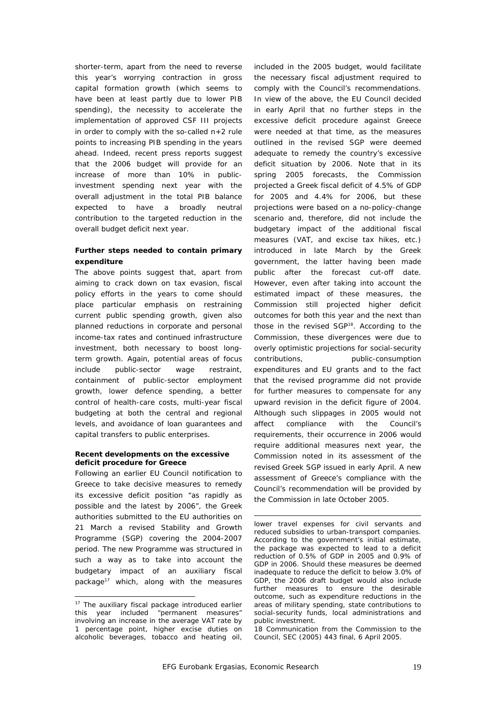shorter-term, apart from the need to reverse this year's worrying contraction in gross capital formation growth (which seems to have been at least partly due to lower PIB spending), the necessity to accelerate the implementation of approved CSF III projects in order to comply with the so-called n+2 rule points to increasing PIB spending in the years ahead. Indeed, recent press reports suggest that the 2006 budget will provide for an increase of more than 10% in publicinvestment spending next year with the overall adjustment in the total PIB balance expected to have a broadly neutral contribution to the targeted reduction in the overall budget deficit next year.

#### *Further steps needed to contain primary expenditure*

The above points suggest that, apart from aiming to crack down on tax evasion, fiscal policy efforts in the years to come should place particular emphasis on restraining current public spending growth, given also planned reductions in corporate and personal income-tax rates and continued infrastructure investment, both necessary to boost longterm growth. Again, potential areas of focus include public-sector wage restraint, containment of public-sector employment growth, lower defence spending, a better control of health-care costs, multi-year fiscal budgeting at both the central and regional levels, and avoidance of loan guarantees and capital transfers to public enterprises.

#### *Recent developments on the excessive deficit procedure for Greece*

Following an earlier EU Council notification to Greece to take decisive measures to remedy its excessive deficit position "as rapidly as possible and the latest by 2006", the Greek authorities submitted to the EU authorities on 21 March a revised Stability and Growth Programme (SGP) covering the 2004-2007 period. The new Programme was structured in such a way as to take into account the budgetary impact of an auxiliary fiscal package<sup>17</sup> which, along with the measures

 $\overline{\phantom{a}}$ 

included in the 2005 budget, would facilitate the necessary fiscal adjustment required to comply with the Council's recommendations. In view of the above, the EU Council decided in early April that no further steps in the excessive deficit procedure against Greece were needed at that time, as the measures outlined in the revised SGP were deemed adequate to remedy the country's excessive deficit situation by 2006. Note that in its spring 2005 forecasts, the Commission projected a Greek fiscal deficit of 4.5% of GDP for 2005 and 4.4% for 2006, but these projections were based on a no-policy-change scenario and, therefore, did not include the budgetary impact of the additional fiscal measures (VAT, and excise tax hikes, etc.) introduced in late March by the Greek government, the latter having been made public after the forecast cut-off date. However, even after taking into account the estimated impact of these measures, the Commission still projected higher deficit outcomes for both this year and the next than those in the revised SGP<sup>18</sup>. According to the Commission, these divergences were due to overly optimistic projections for social-security contributions, public-consumption expenditures and EU grants and to the fact that the revised programme did not provide for further measures to compensate for any upward revision in the deficit figure of 2004. Although such slippages in 2005 would not affect compliance with the Council's requirements, their occurrence in 2006 would require additional measures next year, the Commission noted in its assessment of the revised Greek SGP issued in early April. A new assessment of Greece's compliance with the Council's recommendation will be provided by the Commission in late October 2005.

18 Communication from the Commission to the Council, SEC (2005) 443 final, 6 April 2005.

<sup>&</sup>lt;sup>17</sup> The auxiliary fiscal package introduced earlier this year included "permanent measures" involving an increase in the average VAT rate by 1 percentage point, higher excise duties on alcoholic beverages, tobacco and heating oil,

lower travel expenses for civil servants and reduced subsidies to urban-transport companies. According to the government's initial estimate, the package was expected to lead to a deficit reduction of 0.5% of GDP in 2005 and 0.9% of GDP in 2006. Should these measures be deemed inadequate to reduce the deficit to below 3.0% of GDP, the 2006 draft budget would also include further measures to ensure the desirable outcome, such as expenditure reductions in the areas of military spending, state contributions to social-security funds, local administrations and public investment.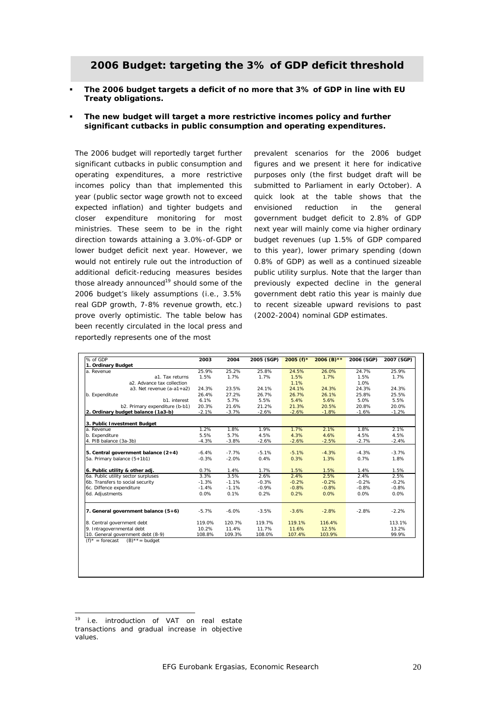#### **2006 Budget: targeting the 3% of GDP deficit threshold**

 **The 2006 budget targets a deficit of no more that 3% of GDP in line with EU Treaty obligations.** 

#### **The new budget will target a more restrictive incomes policy and further significant cutbacks in public consumption and operating expenditures.**

The 2006 budget will reportedly target further significant cutbacks in public consumption and operating expenditures, a more restrictive incomes policy than that implemented this year (public sector wage growth not to exceed expected inflation) and tighter budgets and closer expenditure monitoring for most ministries. These seem to be in the right direction towards attaining a 3.0%-of-GDP or lower budget deficit next year. However, we would not entirely rule out the introduction of additional deficit-reducing measures besides those already announced $19$  should some of the 2006 budget's likely assumptions (i.e., 3.5% real GDP growth, 7-8% revenue growth, etc.) prove overly optimistic. The table below has been recently circulated in the local press and reportedly represents one of the most

prevalent scenarios for the 2006 budget figures and we present it here for indicative purposes only (the first budget draft will be submitted to Parliament in early October). A quick look at the table shows that the envisioned reduction in the general government budget deficit to 2.8% of GDP next year will mainly come via higher ordinary budget revenues (up 1.5% of GDP compared to this year), lower primary spending (down 0.8% of GDP) as well as a continued sizeable public utility surplus. Note that the larger than previously expected decline in the general government debt ratio this year is mainly due to recent sizeable upward revisions to past (2002-2004) nominal GDP estimates.

| % of GDP                              | 2003    | 2004    | 2005 (SGP) | 2005 $(f)$ * | 2006 (B) ** | 2006 (SGP) | 2007 (SGP) |
|---------------------------------------|---------|---------|------------|--------------|-------------|------------|------------|
| 1. Ordinary Budget                    |         |         |            |              |             |            |            |
| a. Revenue                            | 25.9%   | 25.2%   | 25.8%      | 24.5%        | 26.0%       | 24.7%      | 25.9%      |
| a1. Tax returns                       | 1.5%    | 1.7%    | 1.7%       | 1.5%         | 1.7%        | 1.5%       | 1.7%       |
| a2. Advance tax collection            |         |         |            | 1.1%         |             | 1.0%       |            |
| a3. Net revenue (a-a1+a2)             | 24.3%   | 23.5%   | 24.1%      | 24.1%        | 24.3%       | 24.3%      | 24.3%      |
| b. Expenditute                        | 26.4%   | 27.2%   | 26.7%      | 26.7%        | 26.1%       | 25.8%      | 25.5%      |
| b1. interest                          | 6.1%    | 5.7%    | 5.5%       | 5.4%         | 5.6%        | 5.0%       | 5.5%       |
| b2. Primary expenditure (b-b1)        | 20.3%   | 21.6%   | 21.2%      | 21.3%        | 20.5%       | 20.8%      | 20.0%      |
| 2. Ordinary budget balance (1a3-b)    | $-2.1%$ | $-3.7%$ | $-2.6%$    | $-2.6%$      | $-1.8%$     | $-1.6%$    | $-1.2%$    |
| 3. Public Investment Budget           |         |         |            |              |             |            |            |
| a. Revenue                            | 1.2%    | 1.8%    | 1.9%       | 1.7%         | 2.1%        | 1.8%       | 2.1%       |
| b. Expenditure                        | 5.5%    | 5.7%    | 4.5%       | 4.3%         | 4.6%        | 4.5%       | 4.5%       |
| 4. PIB balance (3a-3b)                | $-4.3%$ | $-3.8%$ | $-2.6%$    | $-2.6%$      | $-2.5%$     | $-2.7%$    | $-2.4%$    |
|                                       |         |         |            |              |             |            |            |
| 5. Central government balance (2+4)   | $-6.4%$ | $-7.7%$ | $-5.1%$    | $-5.1%$      | $-4.3%$     | $-4.3%$    | $-3.7%$    |
| 5a. Primary balance (5+1b1)           | $-0.3%$ | $-2.0%$ | 0.4%       | 0.3%         | 1.3%        | 0.7%       | 1.8%       |
|                                       |         |         |            |              |             |            |            |
| 6. Public utility & other adj.        | 0.7%    | 1.4%    | 1.7%       | 1.5%         | 1.5%        | 1.4%       | 1.5%       |
| 6a. Public utility sector surpluses   | 3.3%    | 3.5%    | 2.6%       | 2.4%         | 2.5%        | 2.4%       | 2.5%       |
| 6b. Transfers to social security      | $-1.3%$ | $-1.1%$ | $-0.3%$    | $-0.2%$      | $-0.2%$     | $-0.2%$    | $-0.2%$    |
| 6c. Diffence expenditure              | $-1.4%$ | $-1.1%$ | $-0.9%$    | $-0.8%$      | $-0.8%$     | $-0.8%$    | $-0.8%$    |
| 6d. Adjustments                       | 0.0%    | 0.1%    | 0.2%       | 0.2%         | 0.0%        | 0.0%       | 0.0%       |
| 7. General government balance $(5+6)$ | $-5.7%$ | $-6.0%$ | $-3.5%$    | $-3.6%$      | $-2.8%$     | $-2.8%$    | $-2.2%$    |
|                                       |         |         |            |              |             |            |            |
| 8. Central government debt            | 119.0%  | 120.7%  | 119.7%     | 119.1%       | 116.4%      |            | 113.1%     |
| 9. Intragovernmental debt             | 10.2%   | 11.4%   | 11.7%      | 11.6%        | 12.5%       |            | 13.2%      |
| 10. General government debt (8-9)     | 108.8%  | 109.3%  | 108.0%     | 107.4%       | 103.9%      |            | 99.9%      |

 $\overline{a}$ 

<sup>&</sup>lt;sup>19</sup> i.e. introduction of VAT on real estate transactions and gradual increase in objective values.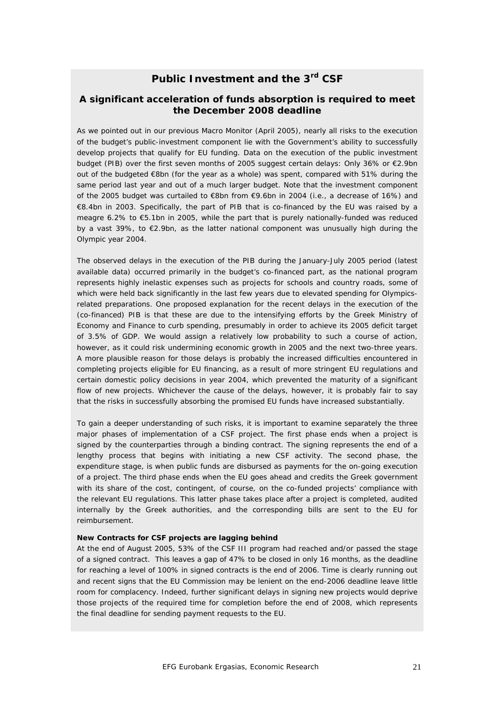#### **Public Investment and the 3rd CSF**

#### *A significant acceleration of funds absorption is required to meet the December 2008 deadline*

As we pointed out in our previous Macro Monitor (April 2005), nearly all risks to the execution of the budget's public-investment component lie with the Government's ability to successfully develop projects that qualify for EU funding. Data on the execution of the public investment budget (PIB) over the first seven months of 2005 suggest certain delays: Only 36% or €2.9bn out of the budgeted €8bn (for the year as a whole) was spent, compared with 51% during the same period last year and out of a much larger budget. Note that the investment component of the 2005 budget was curtailed to €8bn from €9.6bn in 2004 (i.e., a decrease of 16%) and €8.4bn in 2003. Specifically, the part of PIB that is co-financed by the EU was raised by a meagre 6.2% to €5.1bn in 2005, while the part that is purely nationally-funded was reduced by a vast 39%, to €2.9bn, as the latter national component was unusually high during the Olympic year 2004.

The observed delays in the execution of the PIB during the January-July 2005 period (latest available data) occurred primarily in the budget's co-financed part, as the national program represents highly inelastic expenses such as projects for schools and country roads, some of which were held back significantly in the last few years due to elevated spending for Olympicsrelated preparations. One proposed explanation for the recent delays in the execution of the (co-financed) PIB is that these are due to the intensifying efforts by the Greek Ministry of Economy and Finance to curb spending, presumably in order to achieve its 2005 deficit target of 3.5% of GDP. We would assign a relatively low probability to such a course of action, however, as it could risk undermining economic growth in 2005 and the next two-three years. A more plausible reason for those delays is probably the increased difficulties encountered in completing projects eligible for EU financing, as a result of more stringent EU regulations and certain domestic policy decisions in year 2004, which prevented the maturity of a significant flow of new projects. Whichever the cause of the delays, however, it is probably fair to say that the risks in successfully absorbing the promised EU funds have increased substantially.

To gain a deeper understanding of such risks, it is important to examine separately the three major phases of implementation of a CSF project. The first phase ends when a project is signed by the counterparties through a binding contract. The signing represents the end of a lengthy process that begins with initiating a new CSF activity. The second phase, the expenditure stage, is when public funds are disbursed as payments for the on-going execution of a project. The third phase ends when the EU goes ahead and credits the Greek government with its share of the cost, contingent, of course, on the co-funded projects' compliance with the relevant EU regulations. This latter phase takes place after a project is completed, audited internally by the Greek authorities, and the corresponding bills are sent to the EU for reimbursement.

#### **New Contracts for CSF projects are lagging behind**

At the end of August 2005, 53% of the CSF III program had reached and/or passed the stage of a signed contract. This leaves a gap of 47% to be closed in only 16 months, as the deadline for reaching a level of 100% in signed contracts is the end of 2006. Time is clearly running out and recent signs that the EU Commission may be lenient on the end-2006 deadline leave little room for complacency. Indeed, further significant delays in signing new projects would deprive those projects of the required time for completion before the end of 2008, which represents the final deadline for sending payment requests to the EU.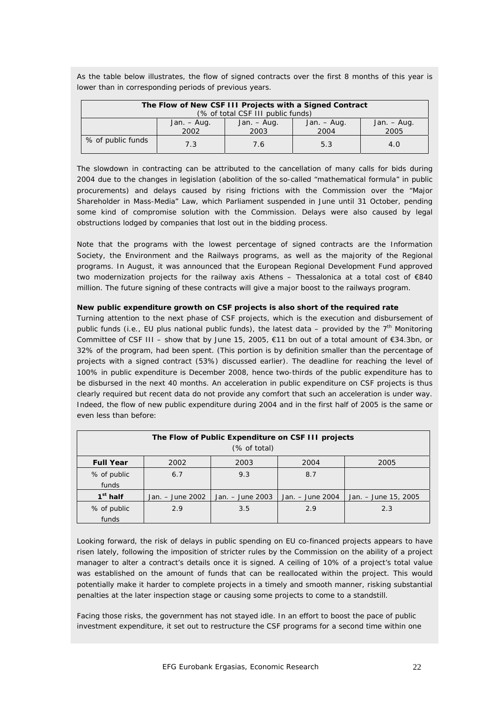| The Flow of New CSF III Projects with a Signed Contract                                      |     |     |     |  |  |  |  |
|----------------------------------------------------------------------------------------------|-----|-----|-----|--|--|--|--|
| (% of total CSF III public funds)                                                            |     |     |     |  |  |  |  |
| Jan. – Aug.<br>Jan. $-$ Aug.<br>Jan. – Aug.<br>Jan. $-$ Aug.<br>2005<br>2004<br>2002<br>2003 |     |     |     |  |  |  |  |
| % of public funds                                                                            | 7.3 | 7.6 | 5.3 |  |  |  |  |

As the table below illustrates, the flow of signed contracts over the first 8 months of this year is lower than in corresponding periods of previous years.

The slowdown in contracting can be attributed to the cancellation of many calls for bids during 2004 due to the changes in legislation (abolition of the so-called "mathematical formula" in public procurements) and delays caused by rising frictions with the Commission over the "Major Shareholder in Mass-Media" Law, which Parliament suspended in June until 31 October, pending some kind of compromise solution with the Commission. Delays were also caused by legal obstructions lodged by companies that lost out in the bidding process.

Note that the programs with the lowest percentage of signed contracts are the Information Society, the Environment and the Railways programs, as well as the majority of the Regional programs. In August, it was announced that the European Regional Development Fund approved two modernization projects for the railway axis Athens – Thessalonica at a total cost of €840 million. The future signing of these contracts will give a major boost to the railways program.

#### **New public expenditure growth on CSF projects is also short of the required rate**

Turning attention to the next phase of CSF projects, which is the execution and disbursement of public funds (i.e., EU plus national public funds), the latest data – provided by the  $7<sup>th</sup>$  Monitoring Committee of CSF III – show that by June 15, 2005, €11 bn out of a total amount of €34.3bn, or 32% of the program, had been spent. (This portion is by definition smaller than the percentage of projects with a signed contract (53%) discussed earlier). The deadline for reaching the level of 100% in public expenditure is December 2008, hence two-thirds of the public expenditure has to be disbursed in the next 40 months. An acceleration in public expenditure on CSF projects is thus clearly required but recent data do not provide any comfort that such an acceleration is under way. Indeed, the flow of new public expenditure during 2004 and in the first half of 2005 is the same or even less than before:

| The Flow of Public Expenditure on CSF III projects |                              |                  |                  |                      |  |  |  |  |
|----------------------------------------------------|------------------------------|------------------|------------------|----------------------|--|--|--|--|
|                                                    | (% of total)                 |                  |                  |                      |  |  |  |  |
| <b>Full Year</b>                                   | 2003<br>2002<br>2004<br>2005 |                  |                  |                      |  |  |  |  |
| % of public                                        | 6.7                          | 9.3              | 8.7              |                      |  |  |  |  |
| funds                                              |                              |                  |                  |                      |  |  |  |  |
| $1st$ half                                         | Jan. - June 2002             | Jan. – June 2003 | Jan. – June 2004 | Jan. – June 15, 2005 |  |  |  |  |
| % of public                                        | 2.9                          | 3.5              | 2.9              | 2.3                  |  |  |  |  |
| funds                                              |                              |                  |                  |                      |  |  |  |  |

Looking forward, the risk of delays in public spending on EU co-financed projects appears to have risen lately, following the imposition of stricter rules by the Commission on the ability of a project manager to alter a contract's details once it is signed. A ceiling of 10% of a project's total value was established on the amount of funds that can be reallocated within the project. This would potentially make it harder to complete projects in a timely and smooth manner, risking substantial penalties at the later inspection stage or causing some projects to come to a standstill.

Facing those risks, the government has not stayed idle. In an effort to boost the pace of public investment expenditure, it set out to restructure the CSF programs for a second time within one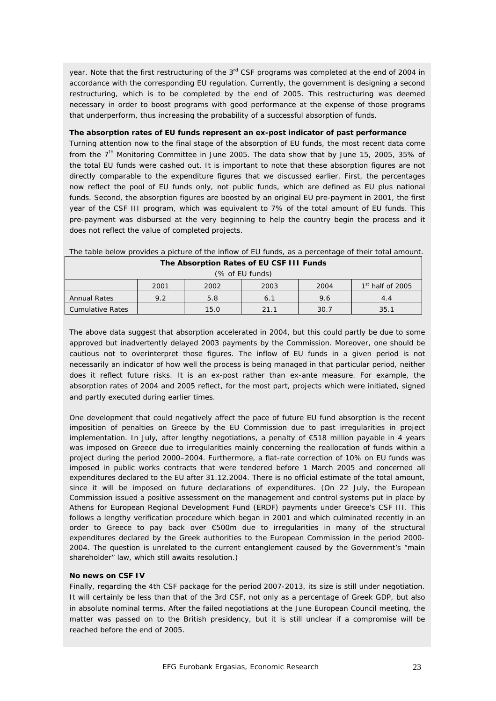year. Note that the first restructuring of the 3<sup>rd</sup> CSF programs was completed at the end of 2004 in accordance with the corresponding EU regulation. Currently, the government is designing a second restructuring, which is to be completed by the end of 2005. This restructuring was deemed necessary in order to boost programs with good performance at the expense of those programs that underperform, thus increasing the probability of a successful absorption of funds.

#### **The absorption rates of EU funds represent an ex-post indicator of past performance**

Turning attention now to the final stage of the absorption of EU funds, the most recent data come from the  $7<sup>th</sup>$  Monitoring Committee in June 2005. The data show that by June 15, 2005, 35% of the total EU funds were cashed out. It is important to note that these absorption figures are not directly comparable to the expenditure figures that we discussed earlier. First, the percentages now reflect the pool of EU funds only, not public funds, which are defined as EU plus national funds. Second, the absorption figures are boosted by an original EU pre-payment in 2001, the first year of the CSF III program, which was equivalent to 7% of the total amount of EU funds. This pre-payment was disbursed at the very beginning to help the country begin the process and it does not reflect the value of completed projects.

| The Absorption Rates of EU CSF III Funds                     |     |      |      |      |      |  |  |
|--------------------------------------------------------------|-----|------|------|------|------|--|--|
| (% of EU funds)                                              |     |      |      |      |      |  |  |
| 1 <sup>st</sup> half of 2005<br>2004<br>2002<br>2003<br>2001 |     |      |      |      |      |  |  |
| <b>Annual Rates</b>                                          | 9.2 | 5.8  | 6.1  | 9.6  | 44   |  |  |
| Cumulative Rates                                             |     | 15.0 | 21.1 | 30.7 | 35.1 |  |  |

The table below provides a picture of the inflow of EU funds, as a percentage of their total amount.

The above data suggest that absorption accelerated in 2004, but this could partly be due to some approved but inadvertently delayed 2003 payments by the Commission. Moreover, one should be cautious not to overinterpret those figures. The inflow of EU funds in a given period is not necessarily an indicator of how well the process is being managed in that particular period, neither does it reflect future risks. It is an ex-post rather than ex-ante measure. For example, the absorption rates of 2004 and 2005 reflect, for the most part, projects which were initiated, signed and partly executed during earlier times.

One development that could negatively affect the pace of future EU fund absorption is the recent imposition of penalties on Greece by the EU Commission due to past irregularities in project implementation. In July, after lengthy negotiations, a penalty of €518 million payable in 4 years was imposed on Greece due to irregularities mainly concerning the reallocation of funds within a project during the period 2000–2004. Furthermore, a flat-rate correction of 10% on EU funds was imposed in public works contracts that were tendered before 1 March 2005 and concerned all expenditures declared to the EU after 31.12.2004. There is no official estimate of the total amount, since it will be imposed on future declarations of expenditures. (On 22 July, the European Commission issued a positive assessment on the management and control systems put in place by Athens for European Regional Development Fund (ERDF) payments under Greece's CSF III. This follows a lengthy verification procedure which began in 2001 and which culminated recently in an order to Greece to pay back over €500m due to irregularities in many of the structural expenditures declared by the Greek authorities to the European Commission in the period 2000- 2004. The question is unrelated to the current entanglement caused by the Government's "main shareholder" law, which still awaits resolution.)

#### **No news on CSF IV**

Finally, regarding the 4th CSF package for the period 2007-2013, its size is still under negotiation. It will certainly be less than that of the 3rd CSF, not only as a percentage of Greek GDP, but also in absolute nominal terms. After the failed negotiations at the June European Council meeting, the matter was passed on to the British presidency, but it is still unclear if a compromise will be reached before the end of 2005.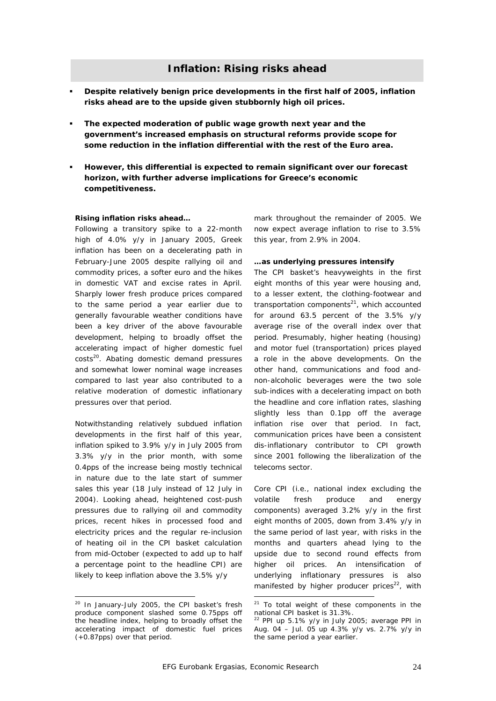#### **Inflation: Rising risks ahead**

- **Despite relatively benign price developments in the first half of 2005, inflation risks ahead are to the upside given stubbornly high oil prices.**
- **The expected moderation of public wage growth next year and the government's increased emphasis on structural reforms provide scope for some reduction in the inflation differential with the rest of the Euro area.**
- **However, this differential is expected to remain significant over our forecast horizon, with further adverse implications for Greece's economic competitiveness.**

#### *Rising inflation risks ahead…*

Following a transitory spike to a 22-month high of 4.0% y/y in January 2005, Greek inflation has been on a decelerating path in February-June 2005 despite rallying oil and commodity prices, a softer euro and the hikes in domestic VAT and excise rates in April. Sharply lower fresh produce prices compared to the same period a year earlier due to generally favourable weather conditions have been a key driver of the above favourable development, helping to broadly offset the accelerating impact of higher domestic fuel costs<sup>20</sup>. Abating domestic demand pressures and somewhat lower nominal wage increases compared to last year also contributed to a relative moderation of domestic inflationary pressures over that period.

Notwithstanding relatively subdued inflation developments in the first half of this year, inflation spiked to 3.9% y/y in July 2005 from 3.3% y/y in the prior month, with some 0.4pps of the increase being mostly technical in nature due to the late start of summer sales this year (18 July instead of 12 July in 2004). Looking ahead, heightened cost-push pressures due to rallying oil and commodity prices, recent hikes in processed food and electricity prices and the regular re-inclusion of heating oil in the CPI basket calculation from mid-October (expected to add up to half a percentage point to the headline CPI) are likely to keep inflation above the 3.5% y/y

 $\overline{\phantom{a}}$ 

mark throughout the remainder of 2005. We now expect average inflation to rise to 3.5% this year, from 2.9% in 2004.

#### *…as underlying pressures intensify*

The CPI basket's heavyweights in the first eight months of this year were housing and, to a lesser extent, the clothing-footwear and transportation components $^{21}$ , which accounted for around 63.5 percent of the 3.5% y/y average rise of the overall index over that period. Presumably, higher heating (housing) and motor fuel (transportation) prices played a role in the above developments. On the other hand, communications and food andnon-alcoholic beverages were the two sole sub-indices with a decelerating impact on both the headline and core inflation rates, slashing slightly less than 0.1pp off the average inflation rise over that period. In fact, communication prices have been a consistent dis-inflationary contributor to CPI growth since 2001 following the liberalization of the telecoms sector.

Core CPI (i.e., national index excluding the volatile fresh produce and energy components) averaged 3.2% y/y in the first eight months of 2005, down from 3.4% y/y in the same period of last year, with risks in the months and quarters ahead lying to the upside due to second round effects from higher oil prices. An intensification of underlying inflationary pressures is also manifested by higher producer prices $22$ , with

<sup>&</sup>lt;sup>20</sup> In January-July 2005, the CPI basket's fresh produce component slashed some 0.75pps off the headline index, helping to broadly offset the accelerating impact of domestic fuel prices (+0.87pps) over that period.

 $21$  To total weight of these components in the national CPI basket is 31.3%.

 $22$  PPI up 5.1% y/y in July 2005; average PPI in Aug. 04 – Jul. 05 up 4.3% y/y vs. 2.7% y/y in the same period a year earlier.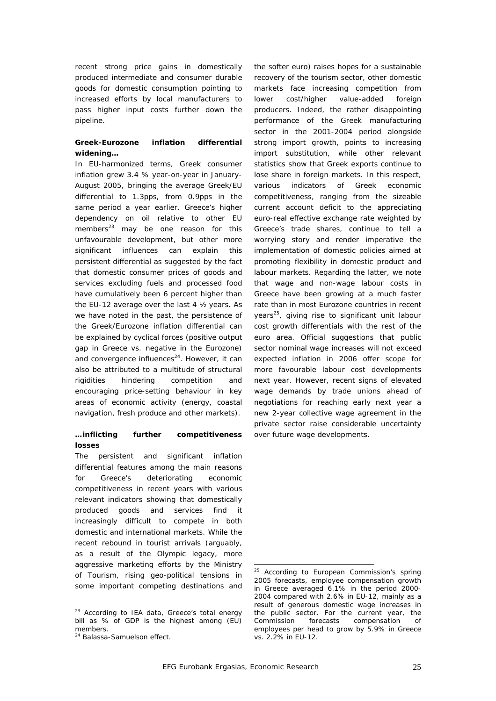recent strong price gains in domestically produced intermediate and consumer durable goods for domestic consumption pointing to increased efforts by local manufacturers to pass higher input costs further down the pipeline.

#### *Greek-Eurozone inflation differential widening…*

In EU-harmonized terms, Greek consumer inflation grew 3.4 % year-on-year in January-August 2005, bringing the average Greek/EU differential to 1.3pps, from 0.9pps in the same period a year earlier. Greece's higher dependency on oil relative to other EU members<sup>23</sup> may be one reason for this unfavourable development, but other more significant influences can explain this persistent differential as suggested by the fact that domestic consumer prices of goods and services excluding fuels and processed food have cumulatively been 6 percent higher than the EU-12 average over the last 4 ½ years. As we have noted in the past, the persistence of the Greek/Eurozone inflation differential can be explained by cyclical forces (positive output gap in Greece vs. negative in the Eurozone) and convergence influences<sup>24</sup>. However, it can also be attributed to a multitude of structural rigidities hindering competition and encouraging price-setting behaviour in key areas of economic activity (energy, coastal navigation, fresh produce and other markets).

#### *…inflicting further competitiveness losses*

The persistent and significant inflation differential features among the main reasons for Greece's deteriorating economic competitiveness in recent years with various relevant indicators showing that domestically produced goods and services find it increasingly difficult to compete in both domestic and international markets. While the recent rebound in tourist arrivals (arguably, as a result of the Olympic legacy, more aggressive marketing efforts by the Ministry of Tourism, rising geo-political tensions in some important competing destinations and

l

the softer euro) raises hopes for a sustainable recovery of the tourism sector, other domestic markets face increasing competition from lower cost/higher value-added foreign producers. Indeed, the rather disappointing performance of the Greek manufacturing sector in the 2001-2004 period alongside strong import growth, points to increasing import substitution, while other relevant statistics show that Greek exports continue to lose share in foreign markets. In this respect, various indicators of Greek economic competitiveness, ranging from the sizeable current account deficit to the appreciating euro-real effective exchange rate weighted by Greece's trade shares, continue to tell a worrying story and render imperative the implementation of domestic policies aimed at promoting flexibility in domestic product and labour markets. Regarding the latter, we note that wage and non-wage labour costs in Greece have been growing at a much faster rate than in most Eurozone countries in recent years<sup>25</sup>, giving rise to significant unit labour cost growth differentials with the rest of the euro area. Official suggestions that public sector nominal wage increases will not exceed expected inflation in 2006 offer scope for more favourable labour cost developments next year. However, recent signs of elevated wage demands by trade unions ahead of negotiations for reaching early next year a new 2-year collective wage agreement in the private sector raise considerable uncertainty over future wage developments.

<sup>&</sup>lt;sup>23</sup> According to IEA data, Greece's total energy bill as % of GDP is the highest among (EU) members.

<sup>24</sup> Balassa-Samuelson effect.

 $25$  According to European Commission's spring 2005 forecasts, employee compensation growth in Greece averaged 6.1% in the period 2000- 2004 compared with 2.6% in EU-12, mainly as a result of generous domestic wage increases in the public sector. For the current year, the Commission forecasts compensation of employees per head to grow by 5.9% in Greece vs. 2.2% in EU-12.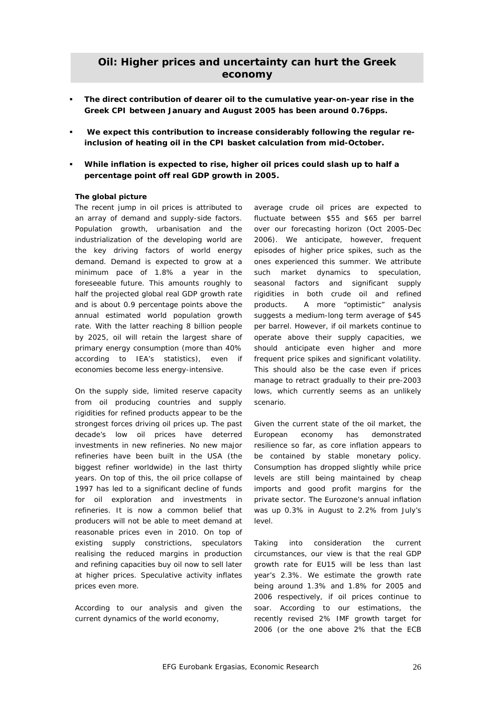#### **Oil: Higher prices and uncertainty can hurt the Greek economy**

- **The direct contribution of dearer oil to the cumulative year-on-year rise in the Greek CPI between January and August 2005 has been around 0.76pps.**
- **We expect this contribution to increase considerably following the regular reinclusion of heating oil in the CPI basket calculation from mid-October.**
- **While inflation is expected to rise, higher oil prices could slash up to half a percentage point off real GDP growth in 2005.**

#### *The global picture*

The recent jump in oil prices is attributed to an array of demand and supply-side factors. Population growth, urbanisation and the industrialization of the developing world are the key driving factors of world energy demand. Demand is expected to grow at a minimum pace of 1.8% a year in the foreseeable future. This amounts roughly to half the projected global real GDP growth rate and is about 0.9 percentage points above the annual estimated world population growth rate. With the latter reaching 8 billion people by 2025, oil will retain the largest share of primary energy consumption (more than 40% according to IEA's statistics), even if economies become less energy-intensive.

On the supply side, limited reserve capacity from oil producing countries and supply rigidities for refined products appear to be the strongest forces driving oil prices up. The past decade's low oil prices have deterred investments in new refineries. No new major refineries have been built in the USA (the biggest refiner worldwide) in the last thirty years. On top of this, the oil price collapse of 1997 has led to a significant decline of funds for oil exploration and investments in refineries. It is now a common belief that producers will not be able to meet demand at reasonable prices even in 2010. On top of existing supply constrictions, speculators realising the reduced margins in production and refining capacities buy oil now to sell later at higher prices. Speculative activity inflates prices even more.

According to our analysis and given the current dynamics of the world economy,

average crude oil prices are expected to fluctuate between \$55 and \$65 per barrel over our forecasting horizon (Oct 2005-Dec 2006). We anticipate, however, frequent episodes of higher price spikes, such as the ones experienced this summer. We attribute such market dynamics to speculation, seasonal factors and significant supply rigidities in both crude oil and refined products. A more "optimistic" analysis suggests a medium-long term average of \$45 per barrel. However, if oil markets continue to operate above their supply capacities, we should anticipate even higher and more frequent price spikes and significant volatility. This should also be the case even if prices manage to retract gradually to their pre-2003 lows, which currently seems as an unlikely scenario.

Given the current state of the oil market, the European economy has demonstrated resilience so far, as core inflation appears to be contained by stable monetary policy. Consumption has dropped slightly while price levels are still being maintained by cheap imports and good profit margins for the private sector. The Eurozone's annual inflation was up 0.3% in August to 2.2% from July's level.

Taking into consideration the current circumstances, our view is that the real GDP growth rate for EU15 will be less than last year's 2.3%. We estimate the growth rate being around 1.3% and 1.8% for 2005 and 2006 respectively, if oil prices continue to soar. According to our estimations, the recently revised 2% IMF growth target for 2006 (or the one above 2% that the ECB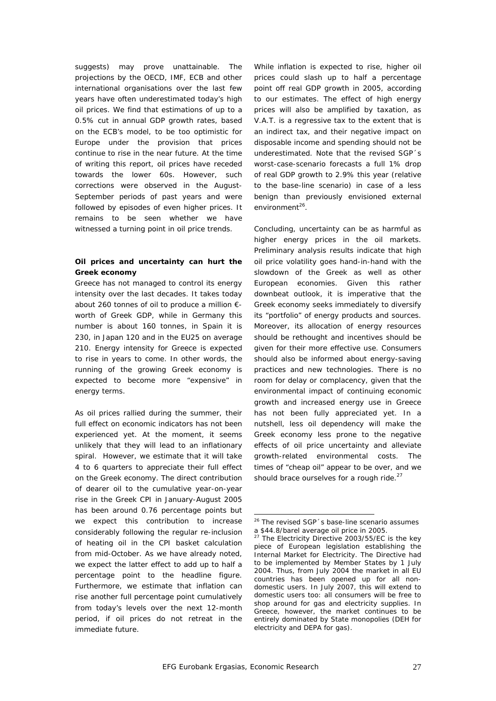suggests) may prove unattainable. The projections by the OECD, IMF, ECB and other international organisations over the last few years have often underestimated today's high oil prices. We find that estimations of up to a 0.5% cut in annual GDP growth rates, based on the ECB's model, to be too optimistic for Europe under the provision that prices continue to rise in the near future. At the time of writing this report, oil prices have receded towards the lower 60s. However, such corrections were observed in the August-September periods of past years and were followed by episodes of even higher prices. It remains to be seen whether we have witnessed a turning point in oil price trends.

#### *Oil prices and uncertainty can hurt the Greek economy*

Greece has not managed to control its energy intensity over the last decades. It takes today about 260 tonnes of oil to produce a million € worth of Greek GDP, while in Germany this number is about 160 tonnes, in Spain it is 230, in Japan 120 and in the EU25 on average 210. Energy intensity for Greece is expected to rise in years to come. In other words, the running of the growing Greek economy is expected to become more "expensive" in energy terms.

As oil prices rallied during the summer, their full effect on economic indicators has not been experienced yet. At the moment, it seems unlikely that they will lead to an inflationary spiral. However, we estimate that it will take 4 to 6 quarters to appreciate their full effect on the Greek economy. The direct contribution of dearer oil to the cumulative year-on-year rise in the Greek CPI in January-August 2005 has been around 0.76 percentage points but we expect this contribution to increase considerably following the regular re-inclusion of heating oil in the CPI basket calculation from mid-October. As we have already noted, we expect the latter effect to add up to half a percentage point to the headline figure. Furthermore, we estimate that inflation can rise another full percentage point cumulatively from today's levels over the next 12-month period, if oil prices do not retreat in the immediate future.

While inflation is expected to rise, higher oil prices could slash up to half a percentage point off real GDP growth in 2005, according to our estimates. The effect of high energy prices will also be amplified by taxation, as V.A.T. is a regressive tax to the extent that is an indirect tax, and their negative impact on disposable income and spending should not be underestimated. Note that the revised SGP´s worst-case-scenario forecasts a full 1% drop of real GDP growth to 2.9% this year (relative to the base-line scenario) in case of a less benign than previously envisioned external  $environment<sup>26</sup>$ .

Concluding, uncertainty can be as harmful as higher energy prices in the oil markets. Preliminary analysis results indicate that high oil price volatility goes hand-in-hand with the slowdown of the Greek as well as other European economies. Given this rather downbeat outlook, it is imperative that the Greek economy seeks immediately to diversify its "portfolio" of energy products and sources. Moreover, its allocation of energy resources should be rethought and incentives should be given for their more effective use. Consumers should also be informed about energy-saving practices and new technologies. There is no room for delay or complacency, given that the environmental impact of continuing economic growth and increased energy use in Greece has not been fully appreciated yet. In a nutshell, less oil dependency will make the Greek economy less prone to the negative effects of oil price uncertainty and alleviate growth-related environmental costs. The times of "cheap oil" appear to be over, and we should brace ourselves for a rough ride.<sup>27</sup>

l

<sup>&</sup>lt;sup>26</sup> The revised SGP 's base-line scenario assumes a \$44.8/barel average oil price in 2005.

 $27$  The Electricity Directive 2003/55/EC is the key piece of European legislation establishing the Internal Market for Electricity. The Directive had to be implemented by Member States by 1 July 2004. Thus, from July 2004 the market in all EU countries has been opened up for all nondomestic users. In July 2007, this will extend to domestic users too: all consumers will be free to shop around for gas and electricity supplies. In Greece, however, the market continues to be entirely dominated by State monopolies (DEH for electricity and DEPA for gas).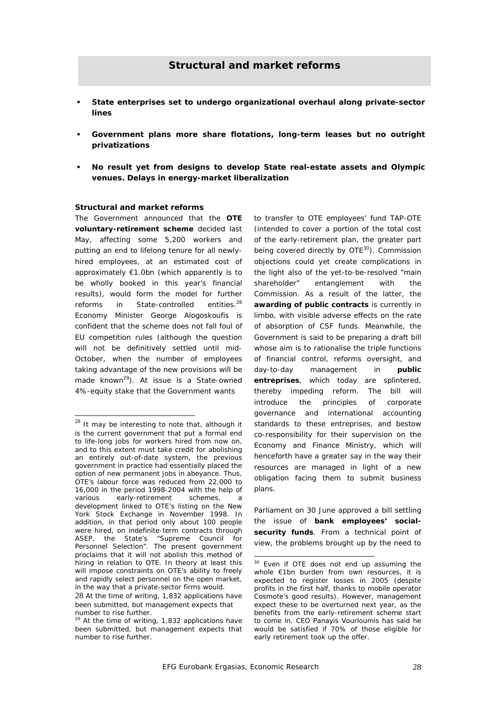- **State enterprises set to undergo organizational overhaul along private-sector lines**
- **Government plans more share flotations, long-term leases but no outright privatizations**
- **No result yet from designs to develop State real-estate assets and Olympic venues. Delays in energy-market liberalization**

#### *Structural and market reforms*

The Government announced that the **OTE voluntary-retirement scheme** decided last May, affecting some 5,200 workers and putting an end to lifelong tenure for all newlyhired employees, at an estimated cost of approximately €1.0bn (which apparently is to be wholly booked in this year's financial results), would form the model for further reforms in State-controlled entities.28 Economy Minister George Alogoskoufis is confident that the scheme does not fall foul of EU competition rules (although the question will not be definitively settled until mid-October, when the number of employees taking advantage of the new provisions will be made known<sup>29</sup>). At issue is a State-owned 4%-equity stake that the Government wants

 $\overline{\phantom{a}}$ 

to transfer to OTE employees' fund TAP-OTE (intended to cover a portion of the total cost of the early-retirement plan, the greater part being covered directly by OTE<sup>30</sup>). Commission objections could yet create complications in the light also of the yet-to-be-resolved "main shareholder" entanglement with the Commission. As a result of the latter, the **awarding of public contracts** is currently in limbo, with visible adverse effects on the rate of absorption of CSF funds. Meanwhile, the Government is said to be preparing a draft bill whose aim is to rationalise the triple functions of financial control, reforms oversight, and day-to-day management in **public entreprises**, which today are splintered, thereby impeding reform. The bill will introduce the principles of corporate governance and international accounting standards to these entreprises, and bestow co-responsibility for their supervision on the Economy and Finance Ministry, which will henceforth have a greater say in the way their resources are managed in light of a new obligation facing them to submit business plans.

Parliament on 30 June approved a bill settling the issue of **bank employees' socialsecurity funds**. From a technical point of view, the problems brought up by the need to

 $^{28}$  It may be interesting to note that, although it is the current government that put a formal end to life-long jobs for workers hired from now on, and to this extent must take credit for abolishing an entirely out-of-date system, the previous government in practice had essentially placed the option of new permanent jobs in abeyance. Thus, OTE's labour force was reduced from 22,000 to 16,000 in the period 1998-2004 with the help of various early-retirement schemes, a development linked to OTE's listing on the New York Stock Exchange in November 1998. In addition, in that period only about 100 people were hired, on indefinite-term contracts through ASEP, the State's "Supreme Council for Personnel Selection". The present government proclaims that it will not abolish this method of hiring in relation to OTE. In theory at least this will impose constraints on OTE's ability to freely and rapidly select personnel on the open market, in the way that a private-sector firms would.

<sup>28</sup> At the time of writing, 1,832 applications have been submitted, but management expects that number to rise further.

 $29$  At the time of writing, 1,832 applications have been submitted, but management expects that number to rise further.

<sup>&</sup>lt;sup>30</sup> Even if OTE does not end up assuming the whole €1bn burden from own resources, it is expected to register losses in 2005 (despite profits in the first half, thanks to mobile operator Cosmote's good results). However, management expect these to be overturned next year, as the benefits from the early-retirement scheme start to come in. CEO Panayis Vourloumis has said he would be satisfied if 70% of those eligible for early retirement took up the offer.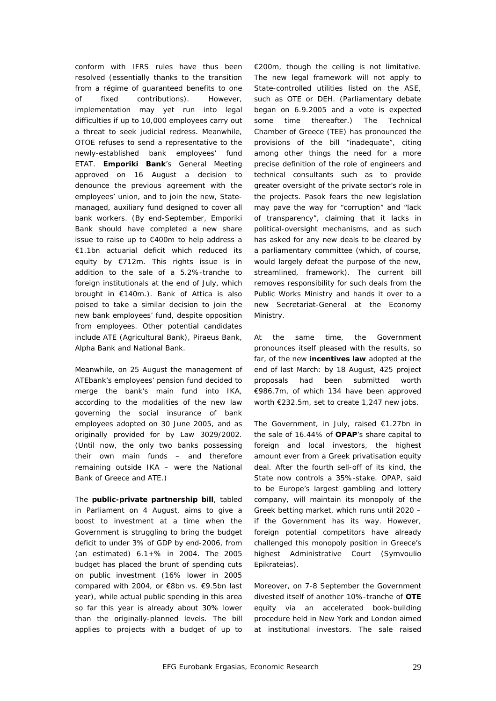conform with IFRS rules have thus been resolved (essentially thanks to the transition from a régime of guaranteed benefits to one of fixed contributions). However, implementation may yet run into legal difficulties if up to 10,000 employees carry out a threat to seek judicial redress. Meanwhile, OTOE refuses to send a representative to the newly-established bank employees' fund ETAT. **Emporiki Bank**'s General Meeting approved on 16 August a decision to denounce the previous agreement with the employees' union, and to join the new, Statemanaged, auxiliary fund designed to cover all bank workers. (By end-September, Emporiki Bank should have completed a new share issue to raise up to €400m to help address a €1.1bn actuarial deficit which reduced its equity by €712m. This rights issue is in addition to the sale of a 5.2%-tranche to foreign institutionals at the end of July, which brought in €140m.). Bank of Attica is also poised to take a similar decision to join the new bank employees' fund, despite opposition from employees. Other potential candidates include ATE (Agricultural Bank), Piraeus Bank, Alpha Bank and National Bank.

Meanwhile, on 25 August the management of ATEbank's employees' pension fund decided to merge the bank's main fund into IKA, according to the modalities of the new law governing the social insurance of bank employees adopted on 30 June 2005, and as originally provided for by Law 3029/2002. (Until now, the only two banks possessing their own main funds – and therefore remaining outside IKA – were the National Bank of Greece and ATE.)

The **public-private partnership bill**, tabled in Parliament on 4 August, aims to give a boost to investment at a time when the Government is struggling to bring the budget deficit to under 3% of GDP by end-2006, from (an estimated) 6.1+% in 2004. The 2005 budget has placed the brunt of spending cuts on public investment (16% lower in 2005 compared with 2004, or €8bn *vs*. €9.5bn last year), while actual public spending in this area so far this year is already about 30% lower than the originally-planned levels. The bill applies to projects with a budget of up to

€200m, though the ceiling is not limitative. The new legal framework will not apply to State-controlled utilities listed on the ASE, such as OTE or DEH. (Parliamentary debate began on 6.9.2005 and a vote is expected some time thereafter.) The Technical Chamber of Greece (TEE) has pronounced the provisions of the bill "inadequate", citing among other things the need for a more precise definition of the role of engineers and technical consultants such as to provide greater oversight of the private sector's role in the projects. Pasok fears the new legislation may pave the way for "corruption" and "lack of transparency", claiming that it lacks in political-oversight mechanisms, and as such has asked for any new deals to be cleared by a parliamentary committee (which, of course, would largely defeat the purpose of the new, streamlined, framework). The current bill removes responsibility for such deals from the Public Works Ministry and hands it over to a new Secretariat-General at the Economy Ministry.

At the same time, the Government pronounces itself pleased with the results, so far, of the new **incentives law** adopted at the end of last March: by 18 August, 425 project proposals had been submitted worth €986.7m, of which 134 have been approved worth €232.5m, set to create 1,247 new jobs.

The Government, in July, raised €1.27bn in the sale of 16.44% of **OPAP**'s share capital to foreign and local investors, the highest amount ever from a Greek privatisation equity deal. After the fourth sell-off of its kind, the State now controls a 35%-stake. OPAP, said to be Europe's largest gambling and lottery company, will maintain its monopoly of the Greek betting market, which runs until 2020 – if the Government has its way. However, foreign potential competitors have already challenged this monopoly position in Greece's highest Administrative Court (*Symvoulio Epikrateias*).

Moreover, on 7-8 September the Government divested itself of another 10%-tranche of **OTE** equity via an accelerated book-building procedure held in New York and London aimed at institutional investors. The sale raised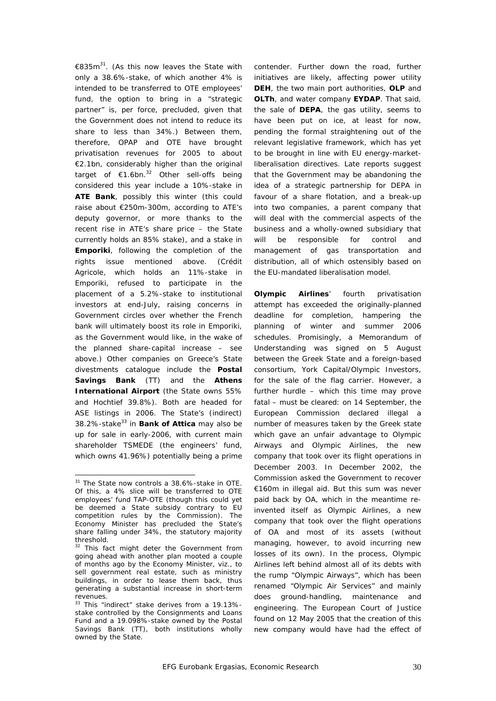€835m<sup>31</sup>. (As this now leaves the State with only a 38.6%-stake, of which another 4% is intended to be transferred to OTE employees' fund, the option to bring in a "strategic partner" is, per force, precluded, given that the Government does not intend to reduce its share to less than 34%.) Between them, therefore, OPAP and OTE have brought privatisation revenues for 2005 to about €2.1bn, considerably higher than the original target of  $\epsilon$ 1.6bn.<sup>32</sup> Other sell-offs being considered this year include a 10%-stake in **ATE Bank**, possibly this winter (this could raise about €250m-300m, according to ATE's deputy governor, or more thanks to the recent rise in ATE's share price – the State currently holds an 85% stake), and a stake in **Emporiki**, following the completion of the rights issue mentioned above. (Crédit Agricole, which holds an 11%-stake in Emporiki, refused to participate in the placement of a 5.2%-stake to institutional investors at end-July, raising concerns in Government circles over whether the French bank will ultimately boost its role in Emporiki, as the Government would like, in the wake of the planned share-capital increase – see above.) Other companies on Greece's State divestments catalogue include the **Postal Savings Bank** (TT) and the **Athens International Airport** (the State owns 55% and Hochtief 39.8%). Both are headed for ASE listings in 2006. The State's (indirect) 38.2%-stake33 in **Bank of Attica** may also be up for sale in early-2006, with current main shareholder TSMEDE (the engineers' fund, which owns 41.96%) potentially being a prime

contender. Further down the road, further initiatives are likely, affecting power utility **DEH**, the two main port authorities, **OLP** and **OLTh**, and water company **EYDAP**. That said, the sale of **DEPA**, the gas utility, seems to have been put on ice, at least for now, pending the formal straightening out of the relevant legislative framework, which has yet to be brought in line with EU energy-marketliberalisation directives. Late reports suggest that the Government may be abandoning the idea of a strategic partnership for DEPA in favour of a share flotation, and a break-up into two companies, a parent company that will deal with the commercial aspects of the business and a wholly-owned subsidiary that will be responsible for control and management of gas transportation and distribution, all of which ostensibly based on the EU-mandated liberalisation model.

**Olympic Airlines**' fourth privatisation attempt has exceeded the originally-planned deadline for completion, hampering the planning of winter and summer 2006 schedules. Promisingly, a Memorandum of Understanding was signed on 5 August between the Greek State and a foreign-based consortium, York Capital/Olympic Investors, for the sale of the flag carrier. However, a further hurdle – which this time may prove fatal – must be cleared: on 14 September, the European Commission declared illegal a number of measures taken by the Greek state which gave an unfair advantage to Olympic Airways and Olympic Airlines, the new company that took over its flight operations in December 2003. In December 2002, the Commission asked the Government to recover €160m in illegal aid. But this sum was never paid back by OA, which in the meantime reinvented itself as Olympic Airlines, a new company that took over the flight operations of OA and most of its assets (without managing, however, to avoid incurring new losses of its own). In the process, Olympic Airlines left behind almost all of its debts with the rump "Olympic Airways", which has been renamed "Olympic Air Services" and mainly does ground-handling, maintenance and engineering. The European Court of Justice found on 12 May 2005 that the creation of this new company would have had the effect of

l <sup>31</sup> The State now controls a 38.6%-stake in OTE. Of this, a 4% slice will be transferred to OTE employees' fund TAP-OTE (though this could yet be deemed a State subsidy contrary to EU competition rules by the Commission). The Economy Minister has precluded the State's share falling under 34%, the statutory majority threshold.

<sup>&</sup>lt;sup>32</sup> This fact might deter the Government from going ahead with another plan mooted a couple of months ago by the Economy Minister, *viz.*, to sell government real estate, such as ministry buildings, in order to lease them back, thus generating a substantial increase in short-term revenues.

<sup>&</sup>lt;sup>33</sup> This "indirect" stake derives from a 19.13%stake controlled by the Consignments and Loans Fund and a 19.098%-stake owned by the Postal Savings Bank (TT), both institutions wholly owned by the State.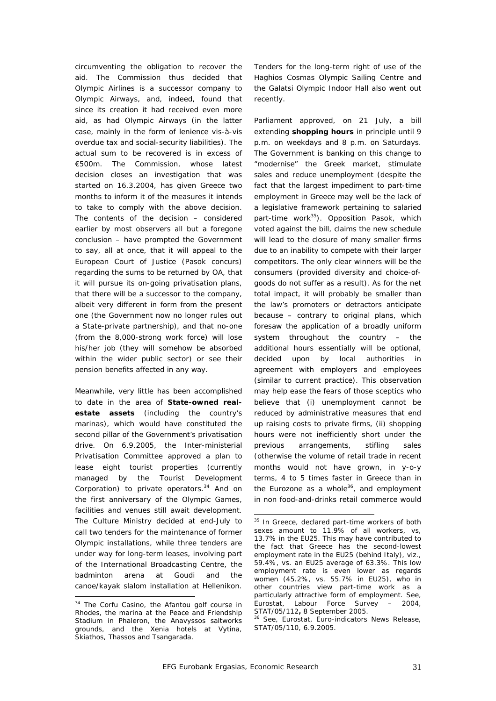circumventing the obligation to recover the aid. The Commission thus decided that Olympic Airlines is a successor company to Olympic Airways, and, indeed, found that since its creation it had received even more aid, as had Olympic Airways (in the latter case, mainly in the form of lenience *vis-à-vis* overdue tax and social-security liabilities). The actual sum to be recovered is in excess of €500m. The Commission, whose latest decision closes an investigation that was started on 16.3.2004, has given Greece two months to inform it of the measures it intends to take to comply with the above decision. The contents of the decision – considered earlier by most observers all but a foregone conclusion – have prompted the Government to say, all at once, that it will appeal to the European Court of Justice (Pasok concurs) regarding the sums to be returned by OA, that it will pursue its on-going privatisation plans, that there will be a successor to the company, albeit very different in form from the present one (the Government now no longer rules out a State-private partnership), and that no-one (from the 8,000-strong work force) will lose his/her job (they will somehow be absorbed within the wider public sector) or see their pension benefits affected in any way.

Meanwhile, very little has been accomplished to date in the area of **State-owned realestate assets** (including the country's marinas), which would have constituted the second pillar of the Government's privatisation drive. On 6.9.2005, the Inter-ministerial Privatisation Committee approved a plan to lease eight tourist properties (currently managed by the Tourist Development Corporation) to private operators.<sup>34</sup> And on the first anniversary of the Olympic Games, facilities and venues still await development. The Culture Ministry decided at end-July to call two tenders for the maintenance of former Olympic installations, while three tenders are under way for long-term leases, involving part of the International Broadcasting Centre, the badminton arena at Goudi and the canoe/kayak slalom installation at Hellenikon.

 $\overline{\phantom{a}}$ 

Tenders for the long-term right of use of the Haghios Cosmas Olympic Sailing Centre and the Galatsi Olympic Indoor Hall also went out recently.

Parliament approved, on 21 July, a bill extending **shopping hours** in principle until 9 p.m. on weekdays and 8 p.m. on Saturdays. The Government is banking on this change to "modernise" the Greek market, stimulate sales and reduce unemployment (despite the fact that the largest impediment to part-time employment in Greece may well be the lack of a legislative framework pertaining to salaried part-time work<sup>35</sup>). Opposition Pasok, which voted against the bill, claims the new schedule will lead to the closure of many smaller firms due to an inability to compete with their larger competitors. The only clear winners will be the consumers (provided diversity and choice-ofgoods do not suffer as a result). As for the net total impact, it will probably be smaller than the law's promoters or detractors anticipate because – contrary to original plans, which foresaw the application of a broadly uniform system throughout the country – the additional hours essentially will be optional, decided upon by local authorities in agreement with employers and employees (similar to current practice). This observation may help ease the fears of those sceptics who believe that (i) unemployment cannot be reduced by administrative measures that end up raising costs to private firms, (ii) shopping hours were *not* inefficiently short under the previous arrangements, stifling sales (otherwise the volume of retail trade in recent months would not have grown, in y-o-y terms, 4 to 5 times faster in Greece than in the Eurozone as a whole $36$ , and employment in non food-and-drinks retail commerce would

l

<sup>&</sup>lt;sup>34</sup> The Corfu Casino, the Afantou golf course in Rhodes, the marina at the Peace and Friendship Stadium in Phaleron, the Anavyssos saltworks grounds, and the Xenia hotels at Vytina, Skiathos, Thassos and Tsangarada.

<sup>&</sup>lt;sup>35</sup> In Greece, declared part-time workers of both sexes amount to 11.9% of all workers, *vs*, 13.7% in the EU25. This may have contributed to the fact that Greece has the second-lowest employment rate in the EU25 (behind Italy), *viz*., 59.4%, *vs.* an EU25 average of 63.3%. This low employment rate is even lower as regards women (45.2%, *vs*. 55.7% in EU25), who in other countries view part-time work as a particularly attractive form of employment. See, Eurostat, *Labour Force Survey – 2004*,

<sup>&</sup>lt;sup>36</sup> See, Eurostat, *Euro-indicators News Release*, STAT/05/110, 6.9.2005.